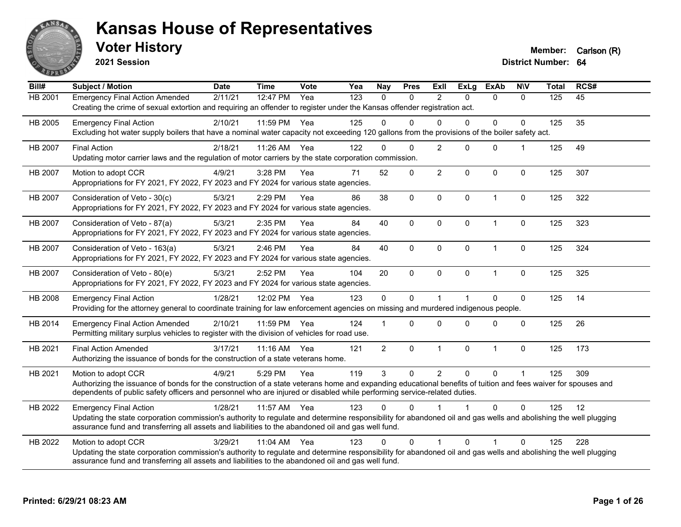

**2021 Session**

**Voter History Member:** Carlson (R)

| Bill#          | <b>Subject / Motion</b>                                                                                                                                                                                                                                                                                         | <b>Date</b> | <b>Time</b> | Vote | Yea | <b>Nay</b>     | <b>Pres</b> | <b>ExII</b>    | <b>ExLg</b>  | <b>ExAb</b>  | <b>NIV</b>           | <b>Total</b> | RCS# |
|----------------|-----------------------------------------------------------------------------------------------------------------------------------------------------------------------------------------------------------------------------------------------------------------------------------------------------------------|-------------|-------------|------|-----|----------------|-------------|----------------|--------------|--------------|----------------------|--------------|------|
| <b>HB 2001</b> | <b>Emergency Final Action Amended</b><br>Creating the crime of sexual extortion and requiring an offender to register under the Kansas offender registration act.                                                                                                                                               | 2/11/21     | 12:47 PM    | Yea  | 123 | $\mathbf{0}$   | 0           | 2              | $\Omega$     | $\Omega$     | $\Omega$             | 125          | 45   |
| HB 2005        | <b>Emergency Final Action</b><br>Excluding hot water supply boilers that have a nominal water capacity not exceeding 120 gallons from the provisions of the boiler safety act.                                                                                                                                  | 2/10/21     | 11:59 PM    | Yea  | 125 | $\Omega$       | $\Omega$    | $\Omega$       | $\Omega$     | $\mathbf 0$  | $\Omega$             | 125          | 35   |
| HB 2007        | <b>Final Action</b><br>Updating motor carrier laws and the regulation of motor carriers by the state corporation commission.                                                                                                                                                                                    | 2/18/21     | 11:26 AM    | Yea  | 122 | $\Omega$       | $\Omega$    | $\overline{2}$ | $\Omega$     | $\mathbf{0}$ |                      | 125          | 49   |
| HB 2007        | Motion to adopt CCR<br>Appropriations for FY 2021, FY 2022, FY 2023 and FY 2024 for various state agencies.                                                                                                                                                                                                     | 4/9/21      | 3:28 PM     | Yea  | 71  | 52             | 0           | $\overline{2}$ | $\Omega$     | 0            | $\mathbf 0$          | 125          | 307  |
| <b>HB 2007</b> | Consideration of Veto - 30(c)<br>Appropriations for FY 2021, FY 2022, FY 2023 and FY 2024 for various state agencies.                                                                                                                                                                                           | 5/3/21      | 2:29 PM     | Yea  | 86  | 38             | $\mathbf 0$ | $\mathbf 0$    | $\mathbf 0$  | $\mathbf{1}$ | 0                    | 125          | 322  |
| HB 2007        | Consideration of Veto - 87(a)<br>Appropriations for FY 2021, FY 2022, FY 2023 and FY 2024 for various state agencies.                                                                                                                                                                                           | 5/3/21      | $2:35$ PM   | Yea  | 84  | 40             | $\Omega$    | $\mathbf{0}$   | $\mathbf{0}$ | 1            | 0                    | 125          | 323  |
| HB 2007        | Consideration of Veto - 163(a)<br>Appropriations for FY 2021, FY 2022, FY 2023 and FY 2024 for various state agencies.                                                                                                                                                                                          | 5/3/21      | 2:46 PM     | Yea  | 84  | 40             | 0           | $\mathbf 0$    | $\mathbf 0$  | $\mathbf{1}$ | 0                    | 125          | 324  |
| HB 2007        | Consideration of Veto - 80(e)<br>Appropriations for FY 2021, FY 2022, FY 2023 and FY 2024 for various state agencies.                                                                                                                                                                                           | 5/3/21      | 2:52 PM     | Yea  | 104 | 20             | $\mathbf 0$ | $\Omega$       | $\mathbf{0}$ | $\mathbf{1}$ | $\Omega$             | 125          | 325  |
| HB 2008        | <b>Emergency Final Action</b><br>Providing for the attorney general to coordinate training for law enforcement agencies on missing and murdered indigenous people.                                                                                                                                              | 1/28/21     | 12:02 PM    | Yea  | 123 | $\mathbf 0$    | 0           | $\overline{1}$ |              | $\Omega$     | 0                    | 125          | 14   |
| HB 2014        | <b>Emergency Final Action Amended</b><br>Permitting military surplus vehicles to register with the division of vehicles for road use.                                                                                                                                                                           | 2/10/21     | 11:59 PM    | Yea  | 124 |                | $\Omega$    | $\Omega$       | $\Omega$     | $\Omega$     | $\Omega$             | 125          | 26   |
| HB 2021        | <b>Final Action Amended</b><br>Authorizing the issuance of bonds for the construction of a state veterans home.                                                                                                                                                                                                 | 3/17/21     | 11:16 AM    | Yea  | 121 | $\overline{2}$ | 0           | $\mathbf{1}$   | $\mathbf 0$  | $\mathbf{1}$ | 0                    | 125          | 173  |
| HB 2021        | Motion to adopt CCR<br>Authorizing the issuance of bonds for the construction of a state veterans home and expanding educational benefits of tuition and fees waiver for spouses and<br>dependents of public safety officers and personnel who are injured or disabled while performing service-related duties. | 4/9/21      | 5:29 PM     | Yea  | 119 | 3              | 0           | $\overline{2}$ | $\mathbf 0$  | $\Omega$     | $\blacktriangleleft$ | 125          | 309  |
| HB 2022        | <b>Emergency Final Action</b><br>Updating the state corporation commission's authority to regulate and determine responsibility for abandoned oil and gas wells and abolishing the well plugging<br>assurance fund and transferring all assets and liabilities to the abandoned oil and gas well fund.          | 1/28/21     | 11:57 AM    | Yea  | 123 | $\Omega$       | 0           |                |              | $\Omega$     | $\Omega$             | 125          | 12   |
| HB 2022        | Motion to adopt CCR<br>Updating the state corporation commission's authority to regulate and determine responsibility for abandoned oil and gas wells and abolishing the well plugging<br>assurance fund and transferring all assets and liabilities to the abandoned oil and gas well fund.                    | 3/29/21     | 11:04 AM    | Yea  | 123 | $\Omega$       | $\Omega$    |                | $\Omega$     | 1            | $\Omega$             | 125          | 228  |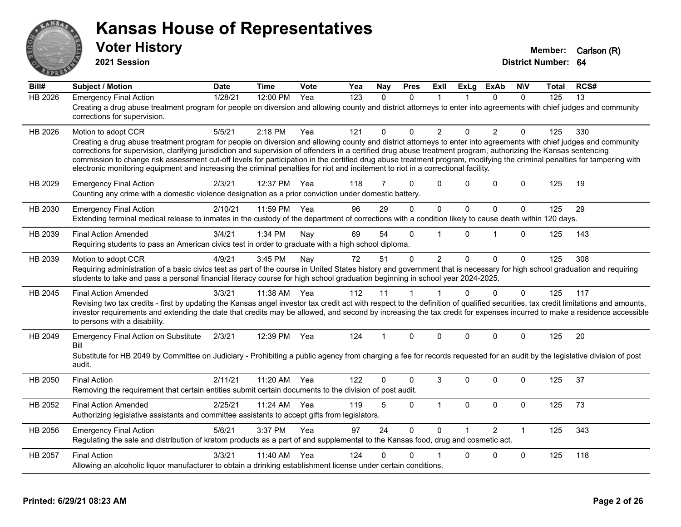

**2021 Session**

| Bill#          | <b>Subject / Motion</b>                                                                                                                                                                                                                                                                                                                                                                                                                                                                                                                                                                                                                                                         | <b>Date</b> | <b>Time</b> | Vote | Yea              | Nay          | <b>Pres</b> | ExII           | <b>ExLg</b>  | <b>ExAb</b>    | <b>NIV</b>   | Total | RCS# |
|----------------|---------------------------------------------------------------------------------------------------------------------------------------------------------------------------------------------------------------------------------------------------------------------------------------------------------------------------------------------------------------------------------------------------------------------------------------------------------------------------------------------------------------------------------------------------------------------------------------------------------------------------------------------------------------------------------|-------------|-------------|------|------------------|--------------|-------------|----------------|--------------|----------------|--------------|-------|------|
| <b>HB 2026</b> | <b>Emergency Final Action</b><br>Creating a drug abuse treatment program for people on diversion and allowing county and district attorneys to enter into agreements with chief judges and community<br>corrections for supervision.                                                                                                                                                                                                                                                                                                                                                                                                                                            | 1/28/21     | 12:00 PM    | Yea  | $\overline{123}$ | $\mathbf{0}$ | $\Omega$    | $\overline{1}$ |              | $\Omega$       | $\mathbf 0$  | 125   | 13   |
| HB 2026        | Motion to adopt CCR<br>Creating a drug abuse treatment program for people on diversion and allowing county and district attorneys to enter into agreements with chief judges and community<br>corrections for supervision, clarifying jurisdiction and supervision of offenders in a certified drug abuse treatment program, authorizing the Kansas sentencing<br>commission to change risk assessment cut-off levels for participation in the certified drug abuse treatment program, modifying the criminal penalties for tampering with<br>electronic monitoring equipment and increasing the criminal penalties for riot and incitement to riot in a correctional facility. | 5/5/21      | $2:18$ PM   | Yea  | 121              | $\Omega$     | $\Omega$    | 2              | $\Omega$     | 2              | $\mathbf{0}$ | 125   | 330  |
| HB 2029        | <b>Emergency Final Action</b><br>Counting any crime with a domestic violence designation as a prior conviction under domestic battery.                                                                                                                                                                                                                                                                                                                                                                                                                                                                                                                                          | 2/3/21      | 12:37 PM    | Yea  | 118              | 7            | $\Omega$    | $\Omega$       | $\Omega$     | $\Omega$       | $\Omega$     | 125   | 19   |
| HB 2030        | <b>Emergency Final Action</b><br>Extending terminal medical release to inmates in the custody of the department of corrections with a condition likely to cause death within 120 days.                                                                                                                                                                                                                                                                                                                                                                                                                                                                                          | 2/10/21     | 11:59 PM    | Yea  | 96               | 29           | $\Omega$    | $\mathbf 0$    | $\mathbf{0}$ | $\mathbf 0$    | $\Omega$     | 125   | 29   |
| HB 2039        | <b>Final Action Amended</b><br>Requiring students to pass an American civics test in order to graduate with a high school diploma.                                                                                                                                                                                                                                                                                                                                                                                                                                                                                                                                              | 3/4/21      | 1:34 PM     | Nay  | 69               | 54           | 0           |                | $\Omega$     | 1              | $\mathbf 0$  | 125   | 143  |
| HB 2039        | Motion to adopt CCR<br>Requiring administration of a basic civics test as part of the course in United States history and government that is necessary for high school graduation and requiring<br>students to take and pass a personal financial literacy course for high school graduation beginning in school year 2024-2025.                                                                                                                                                                                                                                                                                                                                                | 4/9/21      | 3:45 PM     | Nay  | 72               | 51           | 0           | $\overline{2}$ | $\Omega$     | $\mathbf 0$    | $\mathbf 0$  | 125   | 308  |
| HB 2045        | <b>Final Action Amended</b><br>Revising two tax credits - first by updating the Kansas angel investor tax credit act with respect to the definition of qualified securities, tax credit limitations and amounts,<br>investor requirements and extending the date that credits may be allowed, and second by increasing the tax credit for expenses incurred to make a residence accessible<br>to persons with a disability.                                                                                                                                                                                                                                                     | 3/3/21      | 11:38 AM    | Yea  | 112              | 11           | 1           |                | $\Omega$     | $\mathbf 0$    | $\Omega$     | 125   | 117  |
| HB 2049        | <b>Emergency Final Action on Substitute</b><br>Bill<br>Substitute for HB 2049 by Committee on Judiciary - Prohibiting a public agency from charging a fee for records requested for an audit by the legislative division of post<br>audit.                                                                                                                                                                                                                                                                                                                                                                                                                                      | 2/3/21      | 12:39 PM    | Yea  | 124              |              | $\Omega$    | $\Omega$       | $\Omega$     | $\Omega$       | $\mathbf{0}$ | 125   | 20   |
| HB 2050        | <b>Final Action</b><br>Removing the requirement that certain entities submit certain documents to the division of post audit.                                                                                                                                                                                                                                                                                                                                                                                                                                                                                                                                                   | 2/11/21     | 11:20 AM    | Yea  | 122              | 0            | $\Omega$    | 3              | $\Omega$     | $\Omega$       | $\mathbf{0}$ | 125   | 37   |
| HB 2052        | <b>Final Action Amended</b><br>Authorizing legislative assistants and committee assistants to accept gifts from legislators.                                                                                                                                                                                                                                                                                                                                                                                                                                                                                                                                                    | 2/25/21     | 11:24 AM    | Yea  | 119              | 5            | 0           | $\mathbf{1}$   | $\mathbf{0}$ | $\Omega$       | $\mathbf 0$  | 125   | 73   |
| HB 2056        | <b>Emergency Final Action</b><br>Regulating the sale and distribution of kratom products as a part of and supplemental to the Kansas food, drug and cosmetic act.                                                                                                                                                                                                                                                                                                                                                                                                                                                                                                               | 5/6/21      | 3:37 PM     | Yea  | 97               | 24           | $\Omega$    | $\Omega$       |              | $\mathfrak{p}$ | $\mathbf{1}$ | 125   | 343  |
| HB 2057        | <b>Final Action</b><br>Allowing an alcoholic liquor manufacturer to obtain a drinking establishment license under certain conditions.                                                                                                                                                                                                                                                                                                                                                                                                                                                                                                                                           | 3/3/21      | 11:40 AM    | Yea  | 124              | 0            | 0           |                | $\Omega$     | $\mathbf 0$    | $\mathbf 0$  | 125   | 118  |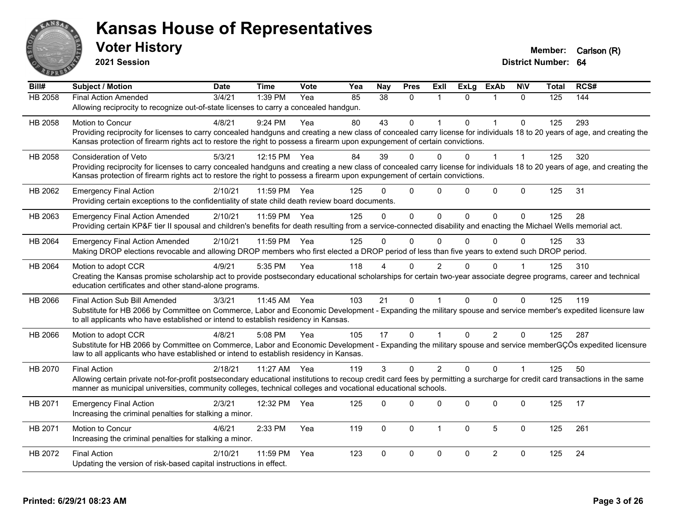

**2021 Session**

| Bill#          | <b>Subject / Motion</b>                                                                                                                                                      | <b>Date</b> | <b>Time</b> | <b>Vote</b> | Yea | <b>Nay</b>   | <b>Pres</b>  | Exll           | <b>ExLg</b> | <b>ExAb</b>    | <b>NIV</b>     | Total | RCS# |
|----------------|------------------------------------------------------------------------------------------------------------------------------------------------------------------------------|-------------|-------------|-------------|-----|--------------|--------------|----------------|-------------|----------------|----------------|-------|------|
| <b>HB 2058</b> | Final Action Amended                                                                                                                                                         | 3/4/21      | 1:39 PM     | Yea         | 85  | 38           | $\mathbf 0$  | 1              | $\Omega$    | 1              | $\mathbf{0}$   | 125   | 144  |
|                | Allowing reciprocity to recognize out-of-state licenses to carry a concealed handgun.                                                                                        |             |             |             |     |              |              |                |             |                |                |       |      |
| HB 2058        | Motion to Concur                                                                                                                                                             | 4/8/21      | 9:24 PM     | Yea         | 80  | 43           | $\mathbf 0$  |                | $\Omega$    |                | $\Omega$       | 125   | 293  |
|                | Providing reciprocity for licenses to carry concealed handguns and creating a new class of concealed carry license for individuals 18 to 20 years of age, and creating the   |             |             |             |     |              |              |                |             |                |                |       |      |
|                | Kansas protection of firearm rights act to restore the right to possess a firearm upon expungement of certain convictions.                                                   |             |             |             |     |              |              |                |             |                |                |       |      |
| HB 2058        | <b>Consideration of Veto</b>                                                                                                                                                 | 5/3/21      | 12:15 PM    | Yea         | 84  | 39           | $\mathbf 0$  | 0              | $\Omega$    |                | 1              | 125   | 320  |
|                | Providing reciprocity for licenses to carry concealed handguns and creating a new class of concealed carry license for individuals 18 to 20 years of age, and creating the   |             |             |             |     |              |              |                |             |                |                |       |      |
|                | Kansas protection of firearm rights act to restore the right to possess a firearm upon expungement of certain convictions.                                                   |             |             |             |     |              |              |                |             |                |                |       |      |
| HB 2062        | <b>Emergency Final Action</b>                                                                                                                                                | 2/10/21     | 11:59 PM    | Yea         | 125 | $\Omega$     | $\Omega$     | $\Omega$       | $\Omega$    | $\mathbf 0$    | $\Omega$       | 125   | 31   |
|                | Providing certain exceptions to the confidentiality of state child death review board documents.                                                                             |             |             |             |     |              |              |                |             |                |                |       |      |
| HB 2063        | <b>Emergency Final Action Amended</b>                                                                                                                                        | 2/10/21     | 11:59 PM    | Yea         | 125 | $\Omega$     | $\mathbf 0$  | $\mathbf 0$    | $\Omega$    | $\mathbf{0}$   | $\mathbf{0}$   | 125   | 28   |
|                | Providing certain KP&F tier II spousal and children's benefits for death resulting from a service-connected disability and enacting the Michael Wells memorial act.          |             |             |             |     |              |              |                |             |                |                |       |      |
| HB 2064        | <b>Emergency Final Action Amended</b>                                                                                                                                        | 2/10/21     | 11:59 PM    | Yea         | 125 | $\Omega$     | $\Omega$     | $\Omega$       | $\Omega$    | $\Omega$       | 0              | 125   | 33   |
|                | Making DROP elections revocable and allowing DROP members who first elected a DROP period of less than five years to extend such DROP period.                                |             |             |             |     |              |              |                |             |                |                |       |      |
| HB 2064        | Motion to adopt CCR                                                                                                                                                          | 4/9/21      | 5:35 PM     | Yea         | 118 |              | 0            | 2              |             | $\Omega$       |                | 125   | 310  |
|                | Creating the Kansas promise scholarship act to provide postsecondary educational scholarships for certain two-year associate degree programs, career and technical           |             |             |             |     |              |              |                |             |                |                |       |      |
|                | education certificates and other stand-alone programs.                                                                                                                       |             |             |             |     |              |              |                |             |                |                |       |      |
| HB 2066        | Final Action Sub Bill Amended                                                                                                                                                | 3/3/21      | 11:45 AM    | Yea         | 103 | 21           | $\Omega$     |                | $\Omega$    | $\Omega$       | $\Omega$       | 125   | 119  |
|                | Substitute for HB 2066 by Committee on Commerce, Labor and Economic Development - Expanding the military spouse and service member's expedited licensure law                 |             |             |             |     |              |              |                |             |                |                |       |      |
|                | to all applicants who have established or intend to establish residency in Kansas.                                                                                           |             |             |             |     |              |              |                |             |                |                |       |      |
| HB 2066        | Motion to adopt CCR                                                                                                                                                          | 4/8/21      | 5:08 PM     | Yea         | 105 | 17           | $\mathbf{0}$ | 1              | $\Omega$    | $\overline{2}$ | $\Omega$       | 125   | 287  |
|                | Substitute for HB 2066 by Committee on Commerce, Labor and Economic Development - Expanding the military spouse and service memberGÇÖs expedited licensure                   |             |             |             |     |              |              |                |             |                |                |       |      |
|                | law to all applicants who have established or intend to establish residency in Kansas.                                                                                       |             |             |             |     |              |              |                |             |                |                |       |      |
| HB 2070        | <b>Final Action</b>                                                                                                                                                          | 2/18/21     | 11:27 AM    | Yea         | 119 | 3            | $\Omega$     | $\overline{2}$ | $\Omega$    | $\Omega$       | $\overline{1}$ | 125   | 50   |
|                | Allowing certain private not-for-profit postsecondary educational institutions to recoup credit card fees by permitting a surcharge for credit card transactions in the same |             |             |             |     |              |              |                |             |                |                |       |      |
|                | manner as municipal universities, community colleges, technical colleges and vocational educational schools.                                                                 |             |             |             |     |              |              |                |             |                |                |       |      |
| HB 2071        | <b>Emergency Final Action</b>                                                                                                                                                | 2/3/21      | 12:32 PM    | Yea         | 125 | $\Omega$     | $\Omega$     | $\Omega$       | $\Omega$    | $\mathbf 0$    | $\Omega$       | 125   | 17   |
|                | Increasing the criminal penalties for stalking a minor.                                                                                                                      |             |             |             |     |              |              |                |             |                |                |       |      |
| HB 2071        | Motion to Concur                                                                                                                                                             | 4/6/21      | 2:33 PM     | Yea         | 119 | $\mathbf{0}$ | $\Omega$     | $\overline{1}$ | $\Omega$    | 5              | $\mathbf{0}$   | 125   | 261  |
|                | Increasing the criminal penalties for stalking a minor.                                                                                                                      |             |             |             |     |              |              |                |             |                |                |       |      |
| HB 2072        | <b>Final Action</b>                                                                                                                                                          | 2/10/21     | 11:59 PM    | Yea         | 123 | $\Omega$     | $\mathbf 0$  | $\mathbf 0$    | $\Omega$    | $\overline{2}$ | $\mathbf 0$    | 125   | 24   |
|                | Updating the version of risk-based capital instructions in effect.                                                                                                           |             |             |             |     |              |              |                |             |                |                |       |      |
|                |                                                                                                                                                                              |             |             |             |     |              |              |                |             |                |                |       |      |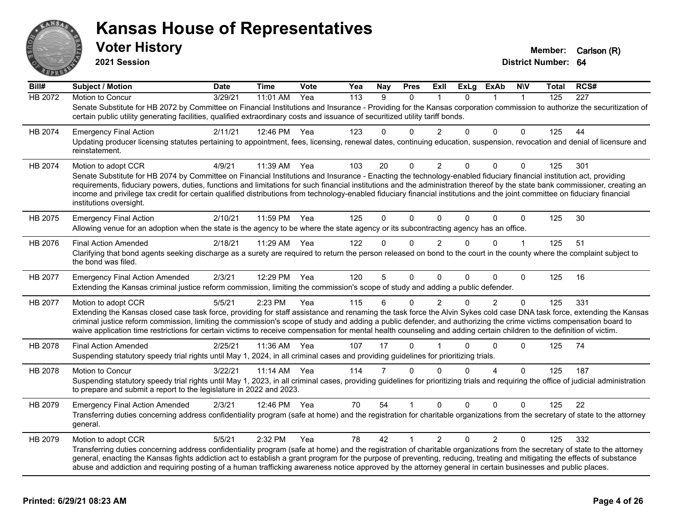

**2021 Session**

| Bill#   | <b>Subject / Motion</b>                                                                                                                                                                                                                                                                                                                                                                                                                                                                                                                                       | <b>Date</b> | <b>Time</b> | Vote | Yea              | <b>Nay</b> | <b>Pres</b>  | ExII           | <b>ExLg</b> | ExAb           | <b>NIV</b>   | Total | RCS# |
|---------|---------------------------------------------------------------------------------------------------------------------------------------------------------------------------------------------------------------------------------------------------------------------------------------------------------------------------------------------------------------------------------------------------------------------------------------------------------------------------------------------------------------------------------------------------------------|-------------|-------------|------|------------------|------------|--------------|----------------|-------------|----------------|--------------|-------|------|
| HB 2072 | Motion to Concur                                                                                                                                                                                                                                                                                                                                                                                                                                                                                                                                              | 3/29/21     | 11:01 AM    | Yea  | $\overline{113}$ | 9          | $\Omega$     |                | $\Omega$    |                | $\mathbf{1}$ | 125   | 227  |
|         | Senate Substitute for HB 2072 by Committee on Financial Institutions and Insurance - Providing for the Kansas corporation commission to authorize the securitization of<br>certain public utility generating facilities, qualified extraordinary costs and issuance of securitized utility tariff bonds.                                                                                                                                                                                                                                                      |             |             |      |                  |            |              |                |             |                |              |       |      |
| HB 2074 | <b>Emergency Final Action</b>                                                                                                                                                                                                                                                                                                                                                                                                                                                                                                                                 | 2/11/21     | 12:46 PM    | Yea  | 123              | 0          | $\Omega$     | $\overline{2}$ | $\Omega$    | 0              | $\Omega$     | 125   | 44   |
|         | Updating producer licensing statutes pertaining to appointment, fees, licensing, renewal dates, continuing education, suspension, revocation and denial of licensure and<br>reinstatement.                                                                                                                                                                                                                                                                                                                                                                    |             |             |      |                  |            |              |                |             |                |              |       |      |
| HB 2074 | Motion to adopt CCR                                                                                                                                                                                                                                                                                                                                                                                                                                                                                                                                           | 4/9/21      | 11:39 AM    | Yea  | 103              | 20         | $\mathbf{0}$ | $\overline{2}$ | $\Omega$    | $\Omega$       | $\mathbf 0$  | 125   | 301  |
|         | Senate Substitute for HB 2074 by Committee on Financial Institutions and Insurance - Enacting the technology-enabled fiduciary financial institution act, providing<br>requirements, fiduciary powers, duties, functions and limitations for such financial institutions and the administration thereof by the state bank commissioner, creating an<br>income and privilege tax credit for certain qualified distributions from technology-enabled fiduciary financial institutions and the joint committee on fiduciary financial<br>institutions oversight. |             |             |      |                  |            |              |                |             |                |              |       |      |
| HB 2075 | <b>Emergency Final Action</b><br>Allowing venue for an adoption when the state is the agency to be where the state agency or its subcontracting agency has an office.                                                                                                                                                                                                                                                                                                                                                                                         | 2/10/21     | 11:59 PM    | Yea  | 125              | 0          | $\Omega$     | $\mathbf{0}$   | $\Omega$    | 0              | $\mathbf 0$  | 125   | 30   |
| HB 2076 | <b>Final Action Amended</b>                                                                                                                                                                                                                                                                                                                                                                                                                                                                                                                                   | 2/18/21     | 11:29 AM    | Yea  | 122              | 0          | $\Omega$     | 2              | $\Omega$    | $\Omega$       | $\mathbf{1}$ | 125   | 51   |
|         | Clarifying that bond agents seeking discharge as a surety are required to return the person released on bond to the court in the county where the complaint subject to<br>the bond was filed.                                                                                                                                                                                                                                                                                                                                                                 |             |             |      |                  |            |              |                |             |                |              |       |      |
| HB 2077 | <b>Emergency Final Action Amended</b>                                                                                                                                                                                                                                                                                                                                                                                                                                                                                                                         | 2/3/21      | 12:29 PM    | Yea  | 120              | 5          | $\mathbf 0$  | $\mathbf{0}$   | $\Omega$    | 0              | $\Omega$     | 125   | 16   |
|         | Extending the Kansas criminal justice reform commission, limiting the commission's scope of study and adding a public defender.                                                                                                                                                                                                                                                                                                                                                                                                                               |             |             |      |                  |            |              |                |             |                |              |       |      |
| HB 2077 | Motion to adopt CCR                                                                                                                                                                                                                                                                                                                                                                                                                                                                                                                                           | 5/5/21      | 2:23 PM     | Yea  | 115              | 6          | $\Omega$     | $\overline{2}$ | 0           | $\overline{2}$ | $\mathbf{0}$ | 125   | 331  |
|         | Extending the Kansas closed case task force, providing for staff assistance and renaming the task force the Alvin Sykes cold case DNA task force, extending the Kansas<br>criminal justice reform commission, limiting the commission's scope of study and adding a public defender, and authorizing the crime victims compensation board to<br>waive application time restrictions for certain victims to receive compensation for mental health counseling and adding certain children to the definition of victim.                                         |             |             |      |                  |            |              |                |             |                |              |       |      |
| HB 2078 | <b>Final Action Amended</b>                                                                                                                                                                                                                                                                                                                                                                                                                                                                                                                                   | 2/25/21     | 11:36 AM    | Yea  | 107              | 17         | $\Omega$     |                | 0           | 0              | $\Omega$     | 125   | 74   |
|         | Suspending statutory speedy trial rights until May 1, 2024, in all criminal cases and providing guidelines for prioritizing trials.                                                                                                                                                                                                                                                                                                                                                                                                                           |             |             |      |                  |            |              |                |             |                |              |       |      |
| HB 2078 | Motion to Concur                                                                                                                                                                                                                                                                                                                                                                                                                                                                                                                                              | 3/22/21     | 11:14 AM    | Yea  | 114              | 7          | $\Omega$     | $\Omega$       | $\Omega$    | 4              | $\Omega$     | 125   | 187  |
|         | Suspending statutory speedy trial rights until May 1, 2023, in all criminal cases, providing guidelines for prioritizing trials and requiring the office of judicial administration<br>to prepare and submit a report to the legislature in 2022 and 2023.                                                                                                                                                                                                                                                                                                    |             |             |      |                  |            |              |                |             |                |              |       |      |
| HB 2079 | <b>Emergency Final Action Amended</b>                                                                                                                                                                                                                                                                                                                                                                                                                                                                                                                         | 2/3/21      | 12:46 PM    | Yea  | 70               | 54         |              | 0              | $\Omega$    | 0              | $\Omega$     | 125   | 22   |
|         | Transferring duties concerning address confidentiality program (safe at home) and the registration for charitable organizations from the secretary of state to the attorney<br>general.                                                                                                                                                                                                                                                                                                                                                                       |             |             |      |                  |            |              |                |             |                |              |       |      |
| HB 2079 | Motion to adopt CCR                                                                                                                                                                                                                                                                                                                                                                                                                                                                                                                                           | 5/5/21      | 2:32 PM     | Yea  | 78               | 42         | 1            | $\overline{2}$ | $\Omega$    | $\overline{2}$ | $\Omega$     | 125   | 332  |
|         | Transferring duties concerning address confidentiality program (safe at home) and the registration of charitable organizations from the secretary of state to the attorney<br>general, enacting the Kansas fights addiction act to establish a grant program for the purpose of preventing, reducing, treating and mitigating the effects of substance<br>abuse and addiction and requiring posting of a human trafficking awareness notice approved by the attorney general in certain businesses and public places.                                         |             |             |      |                  |            |              |                |             |                |              |       |      |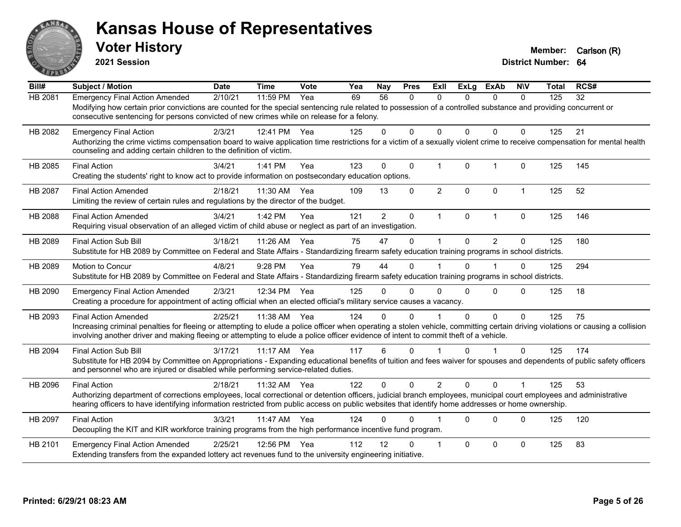

**2021 Session**

| Bill#   | <b>Subject / Motion</b>                                                                                                                                                                                                                                      | <b>Date</b> | <b>Time</b> | Vote | Yea | <b>Nay</b>      | <b>Pres</b>  | ExII           | <b>ExLg</b>  | <b>ExAb</b>    | <b>NIV</b>           | <b>Total</b> | RCS# |
|---------|--------------------------------------------------------------------------------------------------------------------------------------------------------------------------------------------------------------------------------------------------------------|-------------|-------------|------|-----|-----------------|--------------|----------------|--------------|----------------|----------------------|--------------|------|
| HB 2081 | <b>Emergency Final Action Amended</b>                                                                                                                                                                                                                        | 2/10/21     | 11:59 PM    | Yea  | 69  | $\overline{56}$ | $\mathbf{0}$ | 0              | $\Omega$     | $\mathbf{0}$   | $\mathbf{0}$         | 125          | 32   |
|         | Modifying how certain prior convictions are counted for the special sentencing rule related to possession of a controlled substance and providing concurrent or<br>consecutive sentencing for persons convicted of new crimes while on release for a felony. |             |             |      |     |                 |              |                |              |                |                      |              |      |
| HB 2082 | <b>Emergency Final Action</b>                                                                                                                                                                                                                                | 2/3/21      | 12:41 PM    | Yea  | 125 | 0               | $\Omega$     | $\Omega$       | $\Omega$     | 0              | $\Omega$             | 125          | 21   |
|         | Authorizing the crime victims compensation board to waive application time restrictions for a victim of a sexually violent crime to receive compensation for mental health<br>counseling and adding certain children to the definition of victim.            |             |             |      |     |                 |              |                |              |                |                      |              |      |
| HB 2085 | <b>Final Action</b>                                                                                                                                                                                                                                          | 3/4/21      | 1:41 PM     | Yea  | 123 | $\Omega$        | $\mathbf 0$  | $\mathbf{1}$   | $\mathbf{0}$ | $\mathbf{1}$   | $\mathbf{0}$         | 125          | 145  |
|         | Creating the students' right to know act to provide information on postsecondary education options.                                                                                                                                                          |             |             |      |     |                 |              |                |              |                |                      |              |      |
| HB 2087 | <b>Final Action Amended</b>                                                                                                                                                                                                                                  | 2/18/21     | 11:30 AM    | Yea  | 109 | 13              | $\mathbf 0$  | $\overline{2}$ | 0            | $\mathbf 0$    | $\mathbf{1}$         | 125          | 52   |
|         | Limiting the review of certain rules and regulations by the director of the budget.                                                                                                                                                                          |             |             |      |     |                 |              |                |              |                |                      |              |      |
| HB 2088 | <b>Final Action Amended</b>                                                                                                                                                                                                                                  | 3/4/21      | 1:42 PM     | Yea  | 121 | $\overline{2}$  | $\pmb{0}$    | $\mathbf 1$    | $\mathbf 0$  | $\mathbf{1}$   | $\mathbf 0$          | 125          | 146  |
|         | Requiring visual observation of an alleged victim of child abuse or neglect as part of an investigation.                                                                                                                                                     |             |             |      |     |                 |              |                |              |                |                      |              |      |
| HB 2089 | <b>Final Action Sub Bill</b>                                                                                                                                                                                                                                 | 3/18/21     | 11:26 AM    | Yea  | 75  | 47              | $\Omega$     |                | $\Omega$     | $\overline{2}$ | 0                    | 125          | 180  |
|         | Substitute for HB 2089 by Committee on Federal and State Affairs - Standardizing firearm safety education training programs in school districts.                                                                                                             |             |             |      |     |                 |              |                |              |                |                      |              |      |
| HB 2089 | Motion to Concur                                                                                                                                                                                                                                             | 4/8/21      | 9:28 PM     | Yea  | 79  | 44              | $\Omega$     |                | $\Omega$     |                | $\Omega$             | 125          | 294  |
|         | Substitute for HB 2089 by Committee on Federal and State Affairs - Standardizing firearm safety education training programs in school districts.                                                                                                             |             |             |      |     |                 |              |                |              |                |                      |              |      |
| HB 2090 | <b>Emergency Final Action Amended</b>                                                                                                                                                                                                                        | 2/3/21      | 12:34 PM    | Yea  | 125 | 0               | $\Omega$     | $\Omega$       | $\Omega$     | 0              | $\Omega$             | 125          | 18   |
|         | Creating a procedure for appointment of acting official when an elected official's military service causes a vacancy.                                                                                                                                        |             |             |      |     |                 |              |                |              |                |                      |              |      |
| HB 2093 | <b>Final Action Amended</b>                                                                                                                                                                                                                                  | 2/25/21     | 11:38 AM    | Yea  | 124 | 0               | $\Omega$     |                | $\Omega$     | 0              | $\mathbf 0$          | 125          | 75   |
|         | Increasing criminal penalties for fleeing or attempting to elude a police officer when operating a stolen vehicle, committing certain driving violations or causing a collision                                                                              |             |             |      |     |                 |              |                |              |                |                      |              |      |
|         | involving another driver and making fleeing or attempting to elude a police officer evidence of intent to commit theft of a vehicle.                                                                                                                         |             |             |      |     |                 |              |                |              |                |                      |              |      |
| HB 2094 | <b>Final Action Sub Bill</b>                                                                                                                                                                                                                                 | 3/17/21     | 11:17 AM    | Yea  | 117 | 6               | $\Omega$     |                | $\Omega$     | 1              | $\Omega$             | 125          | 174  |
|         | Substitute for HB 2094 by Committee on Appropriations - Expanding educational benefits of tuition and fees waiver for spouses and dependents of public safety officers                                                                                       |             |             |      |     |                 |              |                |              |                |                      |              |      |
|         | and personnel who are injured or disabled while performing service-related duties.                                                                                                                                                                           |             |             |      |     |                 |              |                |              |                |                      |              |      |
| HB 2096 | <b>Final Action</b>                                                                                                                                                                                                                                          | 2/18/21     | 11:32 AM    | Yea  | 122 | $\Omega$        | $\Omega$     | $\overline{2}$ | $\Omega$     | $\Omega$       | $\blacktriangleleft$ | 125          | 53   |
|         | Authorizing department of corrections employees, local correctional or detention officers, judicial branch employees, municipal court employees and administrative                                                                                           |             |             |      |     |                 |              |                |              |                |                      |              |      |
|         | hearing officers to have identifying information restricted from public access on public websites that identify home addresses or home ownership.                                                                                                            |             |             |      |     |                 |              |                |              |                |                      |              |      |
| HB 2097 | <b>Final Action</b>                                                                                                                                                                                                                                          | 3/3/21      | 11:47 AM    | Yea  | 124 | 0               | $\Omega$     |                | $\Omega$     | $\Omega$       | $\Omega$             | 125          | 120  |
|         | Decoupling the KIT and KIR workforce training programs from the high performance incentive fund program.                                                                                                                                                     |             |             |      |     |                 |              |                |              |                |                      |              |      |
| HB 2101 | <b>Emergency Final Action Amended</b>                                                                                                                                                                                                                        | 2/25/21     | 12:56 PM    | Yea  | 112 | 12              | 0            | $\overline{1}$ | $\Omega$     | 0              | $\mathbf 0$          | 125          | 83   |
|         | Extending transfers from the expanded lottery act revenues fund to the university engineering initiative.                                                                                                                                                    |             |             |      |     |                 |              |                |              |                |                      |              |      |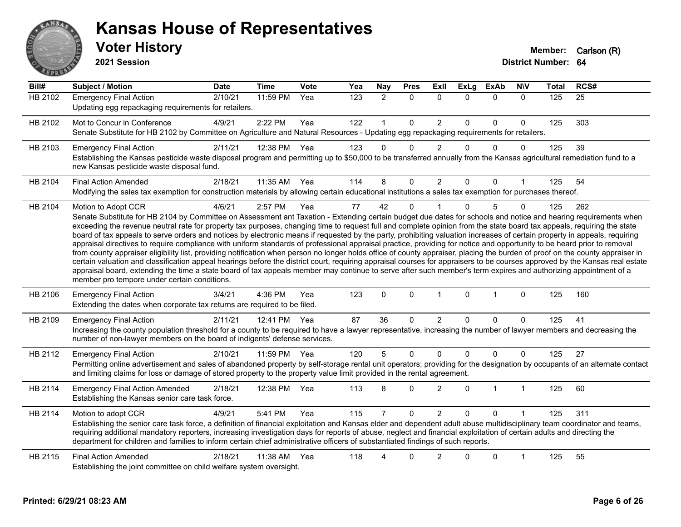

**2021 Session**

| Bill#          | Subject / Motion                                                                                                                                                                                                                                                                                                                                                                                                                                                                                                                                                                                                                                                                                                                                                                                                                                                                                                                                                                                                                                                                                                                                                                                                                                                                                            | <b>Date</b> | <b>Time</b>  | <b>Vote</b> | Yea              | <b>Nay</b>           | <b>Pres</b> | <b>ExII</b>    | <b>ExLg</b>  | <b>ExAb</b>    | <b>NIV</b>   | <b>Total</b> | RCS# |
|----------------|-------------------------------------------------------------------------------------------------------------------------------------------------------------------------------------------------------------------------------------------------------------------------------------------------------------------------------------------------------------------------------------------------------------------------------------------------------------------------------------------------------------------------------------------------------------------------------------------------------------------------------------------------------------------------------------------------------------------------------------------------------------------------------------------------------------------------------------------------------------------------------------------------------------------------------------------------------------------------------------------------------------------------------------------------------------------------------------------------------------------------------------------------------------------------------------------------------------------------------------------------------------------------------------------------------------|-------------|--------------|-------------|------------------|----------------------|-------------|----------------|--------------|----------------|--------------|--------------|------|
| <b>HB 2102</b> | <b>Emergency Final Action</b><br>Updating egg repackaging requirements for retailers.                                                                                                                                                                                                                                                                                                                                                                                                                                                                                                                                                                                                                                                                                                                                                                                                                                                                                                                                                                                                                                                                                                                                                                                                                       | 2/10/21     | 11:59 PM     | Yea         | $\overline{123}$ | $\overline{2}$       | $\Omega$    | $\Omega$       | $\Omega$     | $\mathbf{0}$   | $\mathbf{0}$ | 125          | 25   |
| HB 2102        | Mot to Concur in Conference<br>Senate Substitute for HB 2102 by Committee on Agriculture and Natural Resources - Updating egg repackaging requirements for retailers.                                                                                                                                                                                                                                                                                                                                                                                                                                                                                                                                                                                                                                                                                                                                                                                                                                                                                                                                                                                                                                                                                                                                       | 4/9/21      | 2:22 PM      | Yea         | 122              | $\blacktriangleleft$ | $\Omega$    | $\overline{2}$ | $\Omega$     | $\Omega$       | 0            | 125          | 303  |
| HB 2103        | <b>Emergency Final Action</b><br>Establishing the Kansas pesticide waste disposal program and permitting up to \$50,000 to be transferred annually from the Kansas agricultural remediation fund to a<br>new Kansas pesticide waste disposal fund.                                                                                                                                                                                                                                                                                                                                                                                                                                                                                                                                                                                                                                                                                                                                                                                                                                                                                                                                                                                                                                                          | 2/11/21     | 12:38 PM     | Yea         | 123              | $\Omega$             | 0           | $\overline{2}$ | $\Omega$     | $\mathbf 0$    | 0            | 125          | 39   |
| HB 2104        | <b>Final Action Amended</b><br>Modifying the sales tax exemption for construction materials by allowing certain educational institutions a sales tax exemption for purchases thereof.                                                                                                                                                                                                                                                                                                                                                                                                                                                                                                                                                                                                                                                                                                                                                                                                                                                                                                                                                                                                                                                                                                                       | 2/18/21     | 11:35 AM Yea |             | 114              | 8                    | 0           | $\overline{c}$ | $\Omega$     | 0              | 1            | 125          | 54   |
| HB 2104        | Motion to Adopt CCR<br>Senate Substitute for HB 2104 by Committee on Assessment ant Taxation - Extending certain budget due dates for schools and notice and hearing requirements when<br>exceeding the revenue neutral rate for property tax purposes, changing time to request full and complete opinion from the state board tax appeals, requiring the state<br>board of tax appeals to serve orders and notices by electronic means if requested by the party, prohibiting valuation increases of certain property in appeals, requiring<br>appraisal directives to require compliance with uniform standards of professional appraisal practice, providing for notice and opportunity to be heard prior to removal<br>from county appraiser eligibility list, providing notification when person no longer holds office of county appraiser, placing the burden of proof on the county appraiser in<br>certain valuation and classification appeal hearings before the district court, requiring appraisal courses for appraisers to be courses approved by the Kansas real estate<br>appraisal board, extending the time a state board of tax appeals member may continue to serve after such member's term expires and authorizing appointment of a<br>member pro tempore under certain conditions. | 4/6/21      | 2:57 PM      | Yea         | 77               | 42                   | $\Omega$    |                | $\Omega$     | 5              | $\Omega$     | 125          | 262  |
| HB 2106        | <b>Emergency Final Action</b><br>Extending the dates when corporate tax returns are required to be filed.                                                                                                                                                                                                                                                                                                                                                                                                                                                                                                                                                                                                                                                                                                                                                                                                                                                                                                                                                                                                                                                                                                                                                                                                   | 3/4/21      | 4:36 PM      | Yea         | 123              | $\mathbf 0$          | $\mathbf 0$ | $\mathbf{1}$   | $\mathbf 0$  | $\mathbf{1}$   | $\mathbf 0$  | 125          | 160  |
| HB 2109        | <b>Emergency Final Action</b><br>Increasing the county population threshold for a county to be required to have a lawyer representative, increasing the number of lawyer members and decreasing the<br>number of non-lawyer members on the board of indigents' defense services.                                                                                                                                                                                                                                                                                                                                                                                                                                                                                                                                                                                                                                                                                                                                                                                                                                                                                                                                                                                                                            | 2/11/21     | 12:41 PM     | Yea         | 87               | 36                   | 0           | 2              | $\mathbf{0}$ | $\Omega$       | 0            | 125          | 41   |
| HB 2112        | <b>Emergency Final Action</b><br>Permitting online advertisement and sales of abandoned property by self-storage rental unit operators; providing for the designation by occupants of an alternate contact<br>and limiting claims for loss or damage of stored property to the property value limit provided in the rental agreement.                                                                                                                                                                                                                                                                                                                                                                                                                                                                                                                                                                                                                                                                                                                                                                                                                                                                                                                                                                       | 2/10/21     | 11:59 PM     | Yea         | 120              | 5                    | $\Omega$    | $\Omega$       | $\Omega$     | $\Omega$       | 0            | 125          | 27   |
| HB 2114        | <b>Emergency Final Action Amended</b><br>Establishing the Kansas senior care task force.                                                                                                                                                                                                                                                                                                                                                                                                                                                                                                                                                                                                                                                                                                                                                                                                                                                                                                                                                                                                                                                                                                                                                                                                                    | 2/18/21     | 12:38 PM     | Yea         | 113              | 8                    | 0           | $\overline{2}$ | $\Omega$     | $\overline{1}$ | $\mathbf{1}$ | 125          | 60   |
| HB 2114        | Motion to adopt CCR<br>Establishing the senior care task force, a definition of financial exploitation and Kansas elder and dependent adult abuse multidisciplinary team coordinator and teams,<br>requiring additional mandatory reporters, increasing investigation days for reports of abuse, neglect and financial exploitation of certain adults and directing the<br>department for children and families to inform certain chief administrative officers of substantiated findings of such reports.                                                                                                                                                                                                                                                                                                                                                                                                                                                                                                                                                                                                                                                                                                                                                                                                  | 4/9/21      | 5:41 PM      | Yea         | 115              | 7                    | 0           | $\overline{2}$ | 0            | $\Omega$       | 1            | 125          | 311  |
| HB 2115        | <b>Final Action Amended</b><br>Establishing the joint committee on child welfare system oversight.                                                                                                                                                                                                                                                                                                                                                                                                                                                                                                                                                                                                                                                                                                                                                                                                                                                                                                                                                                                                                                                                                                                                                                                                          | 2/18/21     | 11:38 AM     | Yea         | 118              | Δ                    | $\Omega$    | 2              | 0            | $\Omega$       | 1            | 125          | 55   |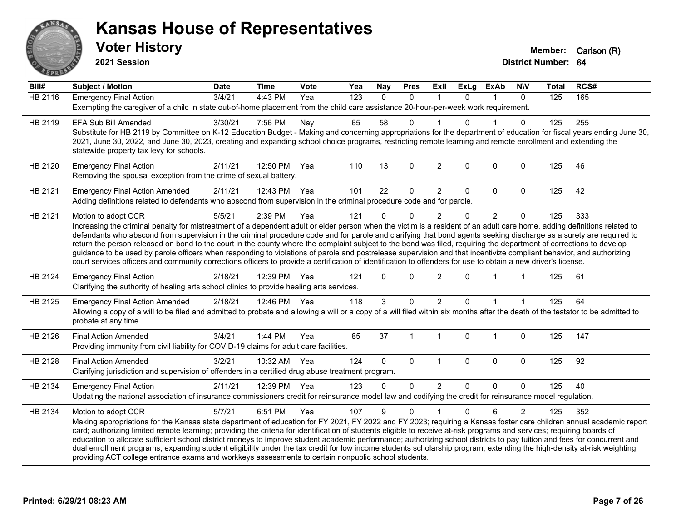

**2021 Session**

| Bill#          | <b>Subject / Motion</b>                                                                                                                                                                                                                                                                                                                    | <b>Date</b> | <b>Time</b> | Vote | Yea              | Nay          | <b>Pres</b>  | ExII           | <b>ExLg</b>  | <b>ExAb</b>    | <b>N\V</b>     | <b>Total</b>   | RCS# |  |
|----------------|--------------------------------------------------------------------------------------------------------------------------------------------------------------------------------------------------------------------------------------------------------------------------------------------------------------------------------------------|-------------|-------------|------|------------------|--------------|--------------|----------------|--------------|----------------|----------------|----------------|------|--|
| <b>HB 2116</b> | <b>Emergency Final Action</b>                                                                                                                                                                                                                                                                                                              | 3/4/21      | 4:43 PM     | Yea  | $\overline{123}$ | $\mathbf{0}$ | $\Omega$     | $\mathbf 1$    | $\Omega$     | 1              | $\Omega$       | $\frac{1}{25}$ | 165  |  |
|                | Exempting the caregiver of a child in state out-of-home placement from the child care assistance 20-hour-per-week work requirement.                                                                                                                                                                                                        |             |             |      |                  |              |              |                |              |                |                |                |      |  |
| HB 2119        | <b>EFA Sub Bill Amended</b>                                                                                                                                                                                                                                                                                                                | 3/30/21     | 7:56 PM     | Nay  | 65               | 58           | 0            |                | $\Omega$     |                | $\Omega$       | 125            | 255  |  |
|                | Substitute for HB 2119 by Committee on K-12 Education Budget - Making and concerning appropriations for the department of education for fiscal years ending June 30,                                                                                                                                                                       |             |             |      |                  |              |              |                |              |                |                |                |      |  |
|                | 2021, June 30, 2022, and June 30, 2023, creating and expanding school choice programs, restricting remote learning and remote enrollment and extending the                                                                                                                                                                                 |             |             |      |                  |              |              |                |              |                |                |                |      |  |
|                | statewide property tax levy for schools.                                                                                                                                                                                                                                                                                                   |             |             |      |                  |              |              |                |              |                |                |                |      |  |
| HB 2120        | <b>Emergency Final Action</b>                                                                                                                                                                                                                                                                                                              | 2/11/21     | 12:50 PM    | Yea  | 110              | 13           | 0            | $\overline{2}$ | $\mathbf{0}$ | 0              | $\mathbf 0$    | 125            | 46   |  |
|                | Removing the spousal exception from the crime of sexual battery.                                                                                                                                                                                                                                                                           |             |             |      |                  |              |              |                |              |                |                |                |      |  |
| HB 2121        | <b>Emergency Final Action Amended</b>                                                                                                                                                                                                                                                                                                      | 2/11/21     | 12:43 PM    | Yea  | 101              | 22           | 0            | $\overline{c}$ | 0            | 0              | $\mathbf 0$    | 125            | 42   |  |
|                | Adding definitions related to defendants who abscond from supervision in the criminal procedure code and for parole.                                                                                                                                                                                                                       |             |             |      |                  |              |              |                |              |                |                |                |      |  |
| HB 2121        | Motion to adopt CCR                                                                                                                                                                                                                                                                                                                        | 5/5/21      | 2:39 PM     | Yea  | 121              | $\Omega$     | 0            | 2              | 0            | $\overline{2}$ | $\mathbf 0$    | 125            | 333  |  |
|                | Increasing the criminal penalty for mistreatment of a dependent adult or elder person when the victim is a resident of an adult care home, adding definitions related to                                                                                                                                                                   |             |             |      |                  |              |              |                |              |                |                |                |      |  |
|                | defendants who abscond from supervision in the criminal procedure code and for parole and clarifying that bond agents seeking discharge as a surety are required to                                                                                                                                                                        |             |             |      |                  |              |              |                |              |                |                |                |      |  |
|                | return the person released on bond to the court in the county where the complaint subject to the bond was filed, requiring the department of corrections to develop<br>guidance to be used by parole officers when responding to violations of parole and postrelease supervision and that incentivize compliant behavior, and authorizing |             |             |      |                  |              |              |                |              |                |                |                |      |  |
|                | court services officers and community corrections officers to provide a certification of identification to offenders for use to obtain a new driver's license.                                                                                                                                                                             |             |             |      |                  |              |              |                |              |                |                |                |      |  |
|                |                                                                                                                                                                                                                                                                                                                                            |             |             |      |                  |              | $\Omega$     |                | $\Omega$     |                |                |                |      |  |
| HB 2124        | <b>Emergency Final Action</b><br>Clarifying the authority of healing arts school clinics to provide healing arts services.                                                                                                                                                                                                                 | 2/18/21     | 12:39 PM    | Yea  | 121              | <sup>n</sup> |              | $\overline{2}$ |              |                |                | 125            | 61   |  |
|                |                                                                                                                                                                                                                                                                                                                                            |             |             |      |                  |              |              |                |              |                |                |                |      |  |
| HB 2125        | <b>Emergency Final Action Amended</b>                                                                                                                                                                                                                                                                                                      | 2/18/21     | 12:46 PM    | Yea  | 118              | 3            | 0            | $\overline{2}$ | $\Omega$     |                |                | 125            | 64   |  |
|                | Allowing a copy of a will to be filed and admitted to probate and allowing a will or a copy of a will filed within six months after the death of the testator to be admitted to<br>probate at any time.                                                                                                                                    |             |             |      |                  |              |              |                |              |                |                |                |      |  |
|                |                                                                                                                                                                                                                                                                                                                                            |             |             |      |                  |              |              |                |              |                |                |                |      |  |
| HB 2126        | <b>Final Action Amended</b>                                                                                                                                                                                                                                                                                                                | 3/4/21      | 1:44 PM     | Yea  | 85               | 37           | $\mathbf{1}$ | $\mathbf{1}$   | $\mathbf 0$  | 1              | $\pmb{0}$      | 125            | 147  |  |
|                | Providing immunity from civil liability for COVID-19 claims for adult care facilities.                                                                                                                                                                                                                                                     |             |             |      |                  |              |              |                |              |                |                |                |      |  |
| HB 2128        | <b>Final Action Amended</b>                                                                                                                                                                                                                                                                                                                | 3/2/21      | 10:32 AM    | Yea  | 124              | $\Omega$     | $\Omega$     | $\overline{1}$ | $\mathbf 0$  | 0              | $\mathbf 0$    | 125            | 92   |  |
|                | Clarifying jurisdiction and supervision of offenders in a certified drug abuse treatment program.                                                                                                                                                                                                                                          |             |             |      |                  |              |              |                |              |                |                |                |      |  |
| HB 2134        | <b>Emergency Final Action</b>                                                                                                                                                                                                                                                                                                              | 2/11/21     | 12:39 PM    | Yea  | 123              | $\Omega$     | $\Omega$     | 2              | $\Omega$     | $\Omega$       | $\Omega$       | 125            | 40   |  |
|                | Updating the national association of insurance commissioners credit for reinsurance model law and codifying the credit for reinsurance model regulation.                                                                                                                                                                                   |             |             |      |                  |              |              |                |              |                |                |                |      |  |
| HB 2134        | Motion to adopt CCR                                                                                                                                                                                                                                                                                                                        | 5/7/21      | 6:51 PM     | Yea  | 107              | 9            | $\Omega$     |                | $\mathbf{0}$ | 6              | $\overline{2}$ | 125            | 352  |  |
|                | Making appropriations for the Kansas state department of education for FY 2021, FY 2022 and FY 2023; requiring a Kansas foster care children annual academic report                                                                                                                                                                        |             |             |      |                  |              |              |                |              |                |                |                |      |  |
|                | card; authorizing limited remote learning; providing the criteria for identification of students eligible to receive at-risk programs and services; requiring boards of                                                                                                                                                                    |             |             |      |                  |              |              |                |              |                |                |                |      |  |
|                | education to allocate sufficient school district moneys to improve student academic performance; authorizing school districts to pay tuition and fees for concurrent and                                                                                                                                                                   |             |             |      |                  |              |              |                |              |                |                |                |      |  |
|                | dual enrollment programs; expanding student eligibility under the tax credit for low income students scholarship program; extending the high-density at-risk weighting;<br>providing ACT college entrance exams and workkeys assessments to certain nonpublic school students.                                                             |             |             |      |                  |              |              |                |              |                |                |                |      |  |
|                |                                                                                                                                                                                                                                                                                                                                            |             |             |      |                  |              |              |                |              |                |                |                |      |  |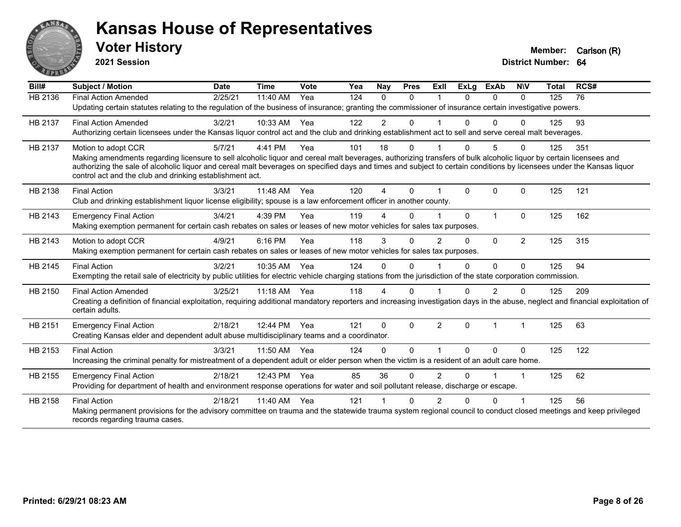

**2021 Session**

| Bill#   | Subject / Motion                                                                                                                                                                                                                  | <b>Date</b> | <b>Time</b> | Vote | Yea | Nay            | <b>Pres</b> | ExIl           | <b>ExLg</b> | <b>ExAb</b>  | <b>NIV</b>           | <b>Total</b> | RCS# |
|---------|-----------------------------------------------------------------------------------------------------------------------------------------------------------------------------------------------------------------------------------|-------------|-------------|------|-----|----------------|-------------|----------------|-------------|--------------|----------------------|--------------|------|
| HB 2136 | <b>Final Action Amended</b>                                                                                                                                                                                                       | 2/25/21     | 11:40 AM    | Yea  | 124 | $\Omega$       | $\Omega$    |                | $\Omega$    | $\Omega$     | $\Omega$             | 125          | 76   |
|         | Updating certain statutes relating to the regulation of the business of insurance; granting the commissioner of insurance certain investigative powers.                                                                           |             |             |      |     |                |             |                |             |              |                      |              |      |
| HB 2137 | <b>Final Action Amended</b>                                                                                                                                                                                                       | 3/2/21      | 10:33 AM    | Yea  | 122 | $\overline{2}$ | 0           |                | 0           | $\Omega$     | $\Omega$             | 125          | 93   |
|         | Authorizing certain licensees under the Kansas liquor control act and the club and drinking establishment act to sell and serve cereal malt beverages.                                                                            |             |             |      |     |                |             |                |             |              |                      |              |      |
| HB 2137 | Motion to adopt CCR                                                                                                                                                                                                               | 5/7/21      | 4:41 PM     | Yea  | 101 | 18             | 0           |                | 0           | 5            | $\Omega$             | 125          | 351  |
|         | Making amendments regarding licensure to sell alcoholic liquor and cereal malt beverages, authorizing transfers of bulk alcoholic liquor by certain licensees and                                                                 |             |             |      |     |                |             |                |             |              |                      |              |      |
|         | authorizing the sale of alcoholic liquor and cereal malt beverages on specified days and times and subject to certain conditions by licensees under the Kansas liquor<br>control act and the club and drinking establishment act. |             |             |      |     |                |             |                |             |              |                      |              |      |
|         |                                                                                                                                                                                                                                   |             |             |      |     |                |             |                |             |              |                      |              |      |
| HB 2138 | <b>Final Action</b>                                                                                                                                                                                                               | 3/3/21      | 11:48 AM    | Yea  | 120 | 4              | $\Omega$    |                | $\Omega$    | $\Omega$     | $\mathbf{0}$         | 125          | 121  |
|         | Club and drinking establishment liquor license eligibility; spouse is a law enforcement officer in another county.                                                                                                                |             |             |      |     |                |             |                |             |              |                      |              |      |
| HB 2143 | <b>Emergency Final Action</b>                                                                                                                                                                                                     | 3/4/21      | 4:39 PM     | Yea  | 119 |                | $\Omega$    |                | $\Omega$    | $\mathbf{1}$ | $\Omega$             | 125          | 162  |
|         | Making exemption permanent for certain cash rebates on sales or leases of new motor vehicles for sales tax purposes.                                                                                                              |             |             |      |     |                |             |                |             |              |                      |              |      |
| HB 2143 | Motion to adopt CCR                                                                                                                                                                                                               | 4/9/21      | 6:16 PM     | Yea  | 118 | 3              | $\Omega$    | $\overline{2}$ | $\Omega$    | $\mathbf{0}$ | $\overline{2}$       | 125          | 315  |
|         | Making exemption permanent for certain cash rebates on sales or leases of new motor vehicles for sales tax purposes.                                                                                                              |             |             |      |     |                |             |                |             |              |                      |              |      |
| HB 2145 | <b>Final Action</b>                                                                                                                                                                                                               | 3/2/21      | 10:35 AM    | Yea  | 124 | $\Omega$       | $\Omega$    |                | $\Omega$    | 0            | $\Omega$             | 125          | 94   |
|         | Exempting the retail sale of electricity by public utilities for electric vehicle charging stations from the jurisdiction of the state corporation commission.                                                                    |             |             |      |     |                |             |                |             |              |                      |              |      |
| HB 2150 | <b>Final Action Amended</b>                                                                                                                                                                                                       | 3/25/21     | $11:18$ AM  | Yea  | 118 | 4              | 0           |                | U           | 2            | n                    | 125          | 209  |
|         | Creating a definition of financial exploitation, requiring additional mandatory reporters and increasing investigation days in the abuse, neglect and financial exploitation of                                                   |             |             |      |     |                |             |                |             |              |                      |              |      |
|         | certain adults.                                                                                                                                                                                                                   |             |             |      |     |                |             |                |             |              |                      |              |      |
| HB 2151 | <b>Emergency Final Action</b>                                                                                                                                                                                                     | 2/18/21     | 12:44 PM    | Yea  | 121 | $\Omega$       | $\Omega$    | $\overline{2}$ | $\Omega$    | 1            | $\blacktriangleleft$ | 125          | 63   |
|         | Creating Kansas elder and dependent adult abuse multidisciplinary teams and a coordinator.                                                                                                                                        |             |             |      |     |                |             |                |             |              |                      |              |      |
| HB 2153 | <b>Final Action</b>                                                                                                                                                                                                               | 3/3/21      | 11:50 AM    | Yea  | 124 | 0              | $\Omega$    |                | $\Omega$    | $\Omega$     | $\mathbf{0}$         | 125          | 122  |
|         | Increasing the criminal penalty for mistreatment of a dependent adult or elder person when the victim is a resident of an adult care home.                                                                                        |             |             |      |     |                |             |                |             |              |                      |              |      |
| HB 2155 | <b>Emergency Final Action</b>                                                                                                                                                                                                     | 2/18/21     | 12:43 PM    | Yea  | 85  | 36             | $\Omega$    | $\overline{2}$ | $\Omega$    |              | -1                   | 125          | 62   |
|         | Providing for department of health and environment response operations for water and soil pollutant release, discharge or escape.                                                                                                 |             |             |      |     |                |             |                |             |              |                      |              |      |
| HB 2158 | <b>Final Action</b>                                                                                                                                                                                                               | 2/18/21     | 11:40 AM    | Yea  | 121 |                | $\Omega$    | 2              | U           | $\Omega$     |                      | 125          | 56   |
|         | Making permanent provisions for the advisory committee on trauma and the statewide trauma system regional council to conduct closed meetings and keep privileged                                                                  |             |             |      |     |                |             |                |             |              |                      |              |      |
|         | records regarding trauma cases.                                                                                                                                                                                                   |             |             |      |     |                |             |                |             |              |                      |              |      |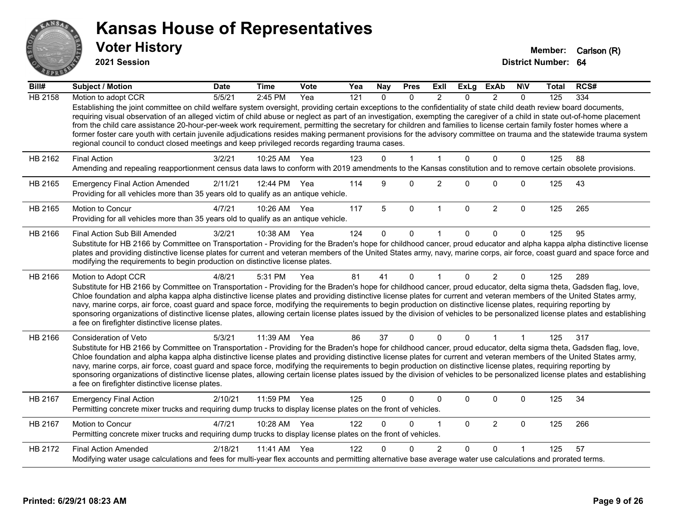

**2021 Session**

| Bill#          | Subject / Motion                                                                                                                                                                                                                                                                                                                                                                                                                                                                                                                                                                                                                                                                                                                                                                                      | <b>Date</b> | <b>Time</b>  | Vote | Yea | <b>Nay</b> | <b>Pres</b>  | ExII           | <b>ExLg</b>  | <b>ExAb</b>    | <b>NIV</b>   | Total | RCS# |
|----------------|-------------------------------------------------------------------------------------------------------------------------------------------------------------------------------------------------------------------------------------------------------------------------------------------------------------------------------------------------------------------------------------------------------------------------------------------------------------------------------------------------------------------------------------------------------------------------------------------------------------------------------------------------------------------------------------------------------------------------------------------------------------------------------------------------------|-------------|--------------|------|-----|------------|--------------|----------------|--------------|----------------|--------------|-------|------|
| <b>HB 2158</b> | Motion to adopt CCR                                                                                                                                                                                                                                                                                                                                                                                                                                                                                                                                                                                                                                                                                                                                                                                   | 5/5/21      | 2:45 PM      | Yea  | 121 | $\Omega$   | $\Omega$     | $\mathfrak{p}$ | $\Omega$     | $\mathcal{P}$  | $\Omega$     | 125   | 334  |
|                | Establishing the joint committee on child welfare system oversight, providing certain exceptions to the confidentiality of state child death review board documents,<br>requiring visual observation of an alleged victim of child abuse or neglect as part of an investigation, exempting the caregiver of a child in state out-of-home placement<br>from the child care assistance 20-hour-per-week work requirement, permitting the secretary for children and families to license certain family foster homes where a<br>former foster care youth with certain juvenile adjudications resides making permanent provisions for the advisory committee on trauma and the statewide trauma system<br>regional council to conduct closed meetings and keep privileged records regarding trauma cases. |             |              |      |     |            |              |                |              |                |              |       |      |
| HB 2162        | <b>Final Action</b>                                                                                                                                                                                                                                                                                                                                                                                                                                                                                                                                                                                                                                                                                                                                                                                   | 3/2/21      | 10:25 AM     | Yea  | 123 | $\Omega$   | 1            | 1              | $\Omega$     | $\mathbf{0}$   | $\mathbf{0}$ | 125   | 88   |
|                | Amending and repealing reapportionment census data laws to conform with 2019 amendments to the Kansas constitution and to remove certain obsolete provisions.                                                                                                                                                                                                                                                                                                                                                                                                                                                                                                                                                                                                                                         |             |              |      |     |            |              |                |              |                |              |       |      |
| HB 2165        | <b>Emergency Final Action Amended</b><br>Providing for all vehicles more than 35 years old to qualify as an antique vehicle.                                                                                                                                                                                                                                                                                                                                                                                                                                                                                                                                                                                                                                                                          | 2/11/21     | 12:44 PM Yea |      | 114 | 9          | $\Omega$     | $\overline{c}$ | $\Omega$     | $\Omega$       | $\mathbf 0$  | 125   | 43   |
| HB 2165        | <b>Motion to Concur</b><br>Providing for all vehicles more than 35 years old to qualify as an antique vehicle.                                                                                                                                                                                                                                                                                                                                                                                                                                                                                                                                                                                                                                                                                        | 4/7/21      | 10:26 AM     | Yea  | 117 | 5          | $\mathbf 0$  | $\overline{1}$ | $\mathbf{0}$ | $\overline{2}$ | $\mathbf{0}$ | 125   | 265  |
| HB 2166        | Final Action Sub Bill Amended                                                                                                                                                                                                                                                                                                                                                                                                                                                                                                                                                                                                                                                                                                                                                                         | 3/2/21      | 10:38 AM     | Yea  | 124 | $\Omega$   | $\Omega$     |                | 0            | $\Omega$       | $\Omega$     | 125   | 95   |
|                | Substitute for HB 2166 by Committee on Transportation - Providing for the Braden's hope for childhood cancer, proud educator and alpha kappa alpha distinctive license<br>plates and providing distinctive license plates for current and veteran members of the United States army, navy, marine corps, air force, coast guard and space force and<br>modifying the requirements to begin production on distinctive license plates.                                                                                                                                                                                                                                                                                                                                                                  |             |              |      |     |            |              |                |              |                |              |       |      |
| HB 2166        | Motion to Adopt CCR                                                                                                                                                                                                                                                                                                                                                                                                                                                                                                                                                                                                                                                                                                                                                                                   | 4/8/21      | 5:31 PM      | Yea  | 81  | 41         | $\mathbf{0}$ | $\mathbf{1}$   | $\Omega$     | $\overline{2}$ | $\Omega$     | 125   | 289  |
|                | Substitute for HB 2166 by Committee on Transportation - Providing for the Braden's hope for childhood cancer, proud educator, delta sigma theta, Gadsden flag, love,<br>Chloe foundation and alpha kappa alpha distinctive license plates and providing distinctive license plates for current and veteran members of the United States army,<br>navy, marine corps, air force, coast guard and space force, modifying the requirements to begin production on distinctive license plates, requiring reporting by<br>sponsoring organizations of distinctive license plates, allowing certain license plates issued by the division of vehicles to be personalized license plates and establishing<br>a fee on firefighter distinctive license plates.                                                |             |              |      |     |            |              |                |              |                |              |       |      |
| HB 2166        | <b>Consideration of Veto</b>                                                                                                                                                                                                                                                                                                                                                                                                                                                                                                                                                                                                                                                                                                                                                                          | 5/3/21      | 11:39 AM     | Yea  | 86  | 37         | $\mathbf{0}$ | $\Omega$       | $\Omega$     | 1              | $\mathbf{1}$ | 125   | 317  |
|                | Substitute for HB 2166 by Committee on Transportation - Providing for the Braden's hope for childhood cancer, proud educator, delta sigma theta, Gadsden flag, love,<br>Chloe foundation and alpha kappa alpha distinctive license plates and providing distinctive license plates for current and veteran members of the United States army,<br>navy, marine corps, air force, coast guard and space force, modifying the requirements to begin production on distinctive license plates, requiring reporting by<br>sponsoring organizations of distinctive license plates, allowing certain license plates issued by the division of vehicles to be personalized license plates and establishing<br>a fee on firefighter distinctive license plates.                                                |             |              |      |     |            |              |                |              |                |              |       |      |
| HB 2167        | <b>Emergency Final Action</b><br>Permitting concrete mixer trucks and requiring dump trucks to display license plates on the front of vehicles.                                                                                                                                                                                                                                                                                                                                                                                                                                                                                                                                                                                                                                                       | 2/10/21     | 11:59 PM     | Yea  | 125 | $\Omega$   | 0            | $\Omega$       | 0            | 0              | $\mathbf 0$  | 125   | 34   |
| HB 2167        | Motion to Concur<br>Permitting concrete mixer trucks and requiring dump trucks to display license plates on the front of vehicles.                                                                                                                                                                                                                                                                                                                                                                                                                                                                                                                                                                                                                                                                    | 4/7/21      | 10:28 AM     | Yea  | 122 | $\Omega$   | $\Omega$     | 1              | $\Omega$     | $\overline{2}$ | $\mathbf 0$  | 125   | 266  |
| HB 2172        | <b>Final Action Amended</b>                                                                                                                                                                                                                                                                                                                                                                                                                                                                                                                                                                                                                                                                                                                                                                           | 2/18/21     | 11:41 AM     | Yea  | 122 |            | 0            | $\overline{2}$ | $\Omega$     | $\Omega$       |              | 125   | 57   |
|                | Modifying water usage calculations and fees for multi-year flex accounts and permitting alternative base average water use calculations and prorated terms.                                                                                                                                                                                                                                                                                                                                                                                                                                                                                                                                                                                                                                           |             |              |      |     |            |              |                |              |                |              |       |      |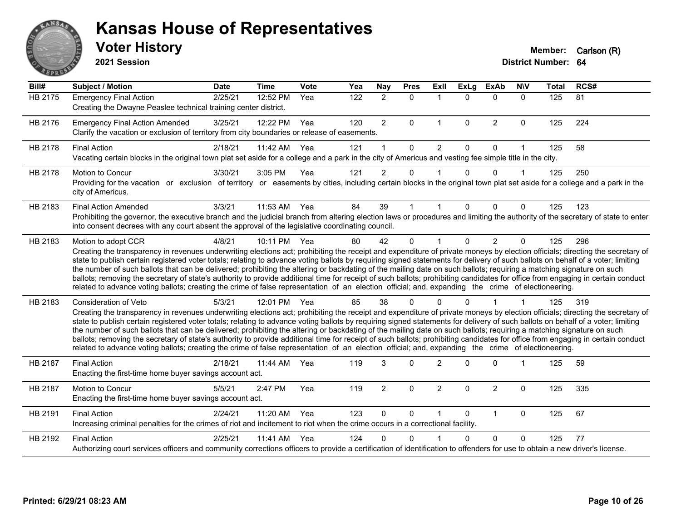

**2021 Session**

| Bill#   | <b>Subject / Motion</b>                                                                                                                                                                                                                                                                                                                                                                                                                                                                                                                                                                                                                                                                                                                                                                                                                                                                                           | <b>Date</b> | <b>Time</b> | Vote | Yea              | <b>Nay</b>     | <b>Pres</b> | <b>Exll</b>    | $\overline{Ex}$ Lg | <b>ExAb</b>    | <b>N\V</b>   | <b>Total</b> | RCS# |
|---------|-------------------------------------------------------------------------------------------------------------------------------------------------------------------------------------------------------------------------------------------------------------------------------------------------------------------------------------------------------------------------------------------------------------------------------------------------------------------------------------------------------------------------------------------------------------------------------------------------------------------------------------------------------------------------------------------------------------------------------------------------------------------------------------------------------------------------------------------------------------------------------------------------------------------|-------------|-------------|------|------------------|----------------|-------------|----------------|--------------------|----------------|--------------|--------------|------|
| HB 2175 | <b>Emergency Final Action</b><br>Creating the Dwayne Peaslee technical training center district.                                                                                                                                                                                                                                                                                                                                                                                                                                                                                                                                                                                                                                                                                                                                                                                                                  | 2/25/21     | 12:52 PM    | Yea  | $\overline{122}$ | $\overline{2}$ | $\Omega$    | $\mathbf{1}$   | $\Omega$           | $\Omega$       | $\mathbf{0}$ | 125          | 81   |
| HB 2176 | <b>Emergency Final Action Amended</b><br>Clarify the vacation or exclusion of territory from city boundaries or release of easements.                                                                                                                                                                                                                                                                                                                                                                                                                                                                                                                                                                                                                                                                                                                                                                             | 3/25/21     | 12:22 PM    | Yea  | 120              | $\overline{2}$ | 0           | $\mathbf{1}$   | 0                  | $\overline{2}$ | $\mathbf 0$  | 125          | 224  |
| HB 2178 | <b>Final Action</b><br>Vacating certain blocks in the original town plat set aside for a college and a park in the city of Americus and vesting fee simple title in the city.                                                                                                                                                                                                                                                                                                                                                                                                                                                                                                                                                                                                                                                                                                                                     | 2/18/21     | 11:42 AM    | Yea  | 121              | 1              | $\Omega$    | $\overline{2}$ | 0                  | 0              |              | 125          | 58   |
| HB 2178 | Motion to Concur<br>Providing for the vacation or exclusion of territory or easements by cities, including certain blocks in the original town plat set aside for a college and a park in the<br>city of Americus.                                                                                                                                                                                                                                                                                                                                                                                                                                                                                                                                                                                                                                                                                                | 3/30/21     | 3:05 PM     | Yea  | 121              | $\overline{2}$ | 0           |                | 0                  | 0              |              | 125          | 250  |
| HB 2183 | <b>Final Action Amended</b><br>Prohibiting the governor, the executive branch and the judicial branch from altering election laws or procedures and limiting the authority of the secretary of state to enter<br>into consent decrees with any court absent the approval of the legislative coordinating council.                                                                                                                                                                                                                                                                                                                                                                                                                                                                                                                                                                                                 | 3/3/21      | 11:53 AM    | Yea  | 84               | 39             |             |                | 0                  | $\Omega$       | $\Omega$     | 125          | 123  |
| HB 2183 | Motion to adopt CCR<br>Creating the transparency in revenues underwriting elections act; prohibiting the receipt and expenditure of private moneys by election officials; directing the secretary of<br>state to publish certain registered voter totals; relating to advance voting ballots by requiring signed statements for delivery of such ballots on behalf of a voter; limiting<br>the number of such ballots that can be delivered; prohibiting the altering or backdating of the mailing date on such ballots; requiring a matching signature on such<br>ballots; removing the secretary of state's authority to provide additional time for receipt of such ballots; prohibiting candidates for office from engaging in certain conduct<br>related to advance voting ballots; creating the crime of false representation of an election official; and, expanding the crime of electioneering.          | 4/8/21      | 10:11 PM    | Yea  | 80               | 42             | $\Omega$    |                | $\Omega$           | $\overline{2}$ | $\Omega$     | 125          | 296  |
| HB 2183 | <b>Consideration of Veto</b><br>Creating the transparency in revenues underwriting elections act; prohibiting the receipt and expenditure of private moneys by election officials; directing the secretary of<br>state to publish certain registered voter totals; relating to advance voting ballots by requiring signed statements for delivery of such ballots on behalf of a voter; limiting<br>the number of such ballots that can be delivered; prohibiting the altering or backdating of the mailing date on such ballots; requiring a matching signature on such<br>ballots; removing the secretary of state's authority to provide additional time for receipt of such ballots; prohibiting candidates for office from engaging in certain conduct<br>related to advance voting ballots; creating the crime of false representation of an election official; and, expanding the crime of electioneering. | 5/3/21      | 12:01 PM    | Yea  | 85               | 38             | $\Omega$    |                |                    |                |              | 125          | 319  |
| HB 2187 | <b>Final Action</b><br>Enacting the first-time home buyer savings account act.                                                                                                                                                                                                                                                                                                                                                                                                                                                                                                                                                                                                                                                                                                                                                                                                                                    | 2/18/21     | 11:44 AM    | Yea  | 119              | 3              | $\Omega$    | $\overline{2}$ | $\Omega$           | 0              |              | 125          | 59   |
| HB 2187 | Motion to Concur<br>Enacting the first-time home buyer savings account act.                                                                                                                                                                                                                                                                                                                                                                                                                                                                                                                                                                                                                                                                                                                                                                                                                                       | 5/5/21      | 2:47 PM     | Yea  | 119              | $\overline{2}$ | 0           | $\overline{2}$ | $\Omega$           | $\overline{c}$ | $\Omega$     | 125          | 335  |
| HB 2191 | <b>Final Action</b><br>Increasing criminal penalties for the crimes of riot and incitement to riot when the crime occurs in a correctional facility.                                                                                                                                                                                                                                                                                                                                                                                                                                                                                                                                                                                                                                                                                                                                                              | 2/24/21     | 11:20 AM    | Yea  | 123              | 0              | 0           |                | $\Omega$           | $\mathbf{1}$   | $\mathbf 0$  | 125          | 67   |
| HB 2192 | <b>Final Action</b><br>Authorizing court services officers and community corrections officers to provide a certification of identification to offenders for use to obtain a new driver's license.                                                                                                                                                                                                                                                                                                                                                                                                                                                                                                                                                                                                                                                                                                                 | 2/25/21     | 11:41 AM    | Yea  | 124              | 0              | $\Omega$    |                | 0                  | 0              | $\Omega$     | 125          | 77   |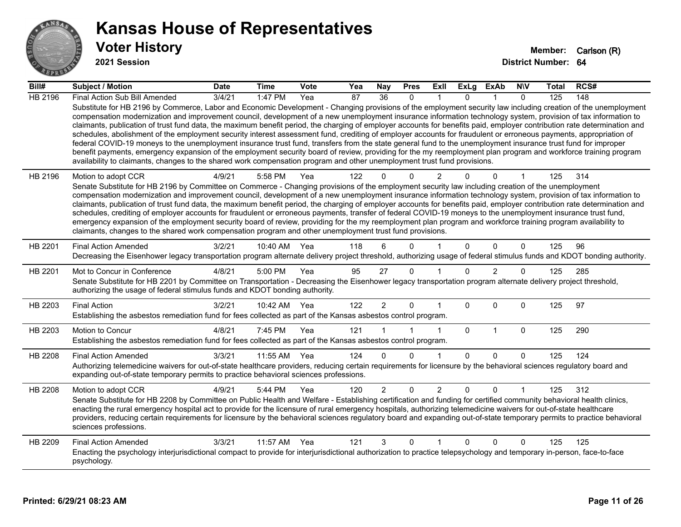

**2021 Session**

| Bill#          | Subject / Motion                                                                                                                                                                                                                                                                                                                                                                                                                                                                                                                                                                                                                                                                                                                                                                                                                                                                                                                                                                                                                                                                                                                                  | <b>Date</b> | <b>Time</b>  | Vote | Yea | <b>Nay</b>     | <b>Pres</b>  | Exll           | <b>ExLg</b> | <b>ExAb</b>    | <b>N\V</b>   | Total | RCS# |
|----------------|---------------------------------------------------------------------------------------------------------------------------------------------------------------------------------------------------------------------------------------------------------------------------------------------------------------------------------------------------------------------------------------------------------------------------------------------------------------------------------------------------------------------------------------------------------------------------------------------------------------------------------------------------------------------------------------------------------------------------------------------------------------------------------------------------------------------------------------------------------------------------------------------------------------------------------------------------------------------------------------------------------------------------------------------------------------------------------------------------------------------------------------------------|-------------|--------------|------|-----|----------------|--------------|----------------|-------------|----------------|--------------|-------|------|
| <b>HB 2196</b> | Final Action Sub Bill Amended                                                                                                                                                                                                                                                                                                                                                                                                                                                                                                                                                                                                                                                                                                                                                                                                                                                                                                                                                                                                                                                                                                                     | 3/4/21      | 1:47 $PM$    | Yea  | 87  | 36             | $\Omega$     |                | $\Omega$    |                | $\Omega$     | 125   | 148  |
|                | Substitute for HB 2196 by Commerce, Labor and Economic Development - Changing provisions of the employment security law including creation of the unemployment<br>compensation modernization and improvement council, development of a new unemployment insurance information technology system, provision of tax information to<br>claimants, publication of trust fund data, the maximum benefit period, the charging of employer accounts for benefits paid, employer contribution rate determination and<br>schedules, abolishment of the employment security interest assessment fund, crediting of employer accounts for fraudulent or erroneous payments, appropriation of<br>federal COVID-19 moneys to the unemployment insurance trust fund, transfers from the state general fund to the unemployment insurance trust fund for improper<br>benefit payments, emergency expansion of the employment security board of review, providing for the my reemployment plan program and workforce training program<br>availability to claimants, changes to the shared work compensation program and other unemployment trust fund provisions. |             |              |      |     |                |              |                |             |                |              |       |      |
| HB 2196        | Motion to adopt CCR                                                                                                                                                                                                                                                                                                                                                                                                                                                                                                                                                                                                                                                                                                                                                                                                                                                                                                                                                                                                                                                                                                                               | 4/9/21      | 5:58 PM      | Yea  | 122 | <sup>n</sup>   | $\Omega$     | $\overline{2}$ |             | 0              |              | 125   | 314  |
|                | Senate Substitute for HB 2196 by Committee on Commerce - Changing provisions of the employment security law including creation of the unemployment                                                                                                                                                                                                                                                                                                                                                                                                                                                                                                                                                                                                                                                                                                                                                                                                                                                                                                                                                                                                |             |              |      |     |                |              |                |             |                |              |       |      |
|                | compensation modernization and improvement council, development of a new unemployment insurance information technology system, provision of tax information to<br>claimants, publication of trust fund data, the maximum benefit period, the charging of employer accounts for benefits paid, employer contribution rate determination and                                                                                                                                                                                                                                                                                                                                                                                                                                                                                                                                                                                                                                                                                                                                                                                                        |             |              |      |     |                |              |                |             |                |              |       |      |
|                | schedules, crediting of employer accounts for fraudulent or erroneous payments, transfer of federal COVID-19 moneys to the unemployment insurance trust fund,                                                                                                                                                                                                                                                                                                                                                                                                                                                                                                                                                                                                                                                                                                                                                                                                                                                                                                                                                                                     |             |              |      |     |                |              |                |             |                |              |       |      |
|                | emergency expansion of the employment security board of review, providing for the my reemployment plan program and workforce training program availability to<br>claimants, changes to the shared work compensation program and other unemployment trust fund provisions.                                                                                                                                                                                                                                                                                                                                                                                                                                                                                                                                                                                                                                                                                                                                                                                                                                                                         |             |              |      |     |                |              |                |             |                |              |       |      |
|                |                                                                                                                                                                                                                                                                                                                                                                                                                                                                                                                                                                                                                                                                                                                                                                                                                                                                                                                                                                                                                                                                                                                                                   |             |              |      |     |                |              |                |             |                |              |       |      |
| HB 2201        | <b>Final Action Amended</b>                                                                                                                                                                                                                                                                                                                                                                                                                                                                                                                                                                                                                                                                                                                                                                                                                                                                                                                                                                                                                                                                                                                       | 3/2/21      | 10:40 AM     | Yea  | 118 | 6              | $\Omega$     |                | $\Omega$    | $\Omega$       | $\mathbf{0}$ | 125   | 96   |
|                | Decreasing the Eisenhower legacy transportation program alternate delivery project threshold, authorizing usage of federal stimulus funds and KDOT bonding authority.                                                                                                                                                                                                                                                                                                                                                                                                                                                                                                                                                                                                                                                                                                                                                                                                                                                                                                                                                                             |             |              |      |     |                |              |                |             |                |              |       |      |
| HB 2201        | Mot to Concur in Conference                                                                                                                                                                                                                                                                                                                                                                                                                                                                                                                                                                                                                                                                                                                                                                                                                                                                                                                                                                                                                                                                                                                       | 4/8/21      | 5:00 PM      | Yea  | 95  | 27             | $\mathbf{0}$ |                | $\Omega$    | $\overline{2}$ | 0            | 125   | 285  |
|                | Senate Substitute for HB 2201 by Committee on Transportation - Decreasing the Eisenhower legacy transportation program alternate delivery project threshold,<br>authorizing the usage of federal stimulus funds and KDOT bonding authority.                                                                                                                                                                                                                                                                                                                                                                                                                                                                                                                                                                                                                                                                                                                                                                                                                                                                                                       |             |              |      |     |                |              |                |             |                |              |       |      |
| HB 2203        | <b>Final Action</b>                                                                                                                                                                                                                                                                                                                                                                                                                                                                                                                                                                                                                                                                                                                                                                                                                                                                                                                                                                                                                                                                                                                               | 3/2/21      | 10:42 AM Yea |      | 122 | $\overline{2}$ | $\mathbf 0$  |                | $\Omega$    | $\Omega$       | $\mathbf{0}$ | 125   | 97   |
|                | Establishing the asbestos remediation fund for fees collected as part of the Kansas asbestos control program.                                                                                                                                                                                                                                                                                                                                                                                                                                                                                                                                                                                                                                                                                                                                                                                                                                                                                                                                                                                                                                     |             |              |      |     |                |              |                |             |                |              |       |      |
| HB 2203        | Motion to Concur                                                                                                                                                                                                                                                                                                                                                                                                                                                                                                                                                                                                                                                                                                                                                                                                                                                                                                                                                                                                                                                                                                                                  | 4/8/21      | 7:45 PM      | Yea  | 121 |                |              | $\mathbf{1}$   | $\mathbf 0$ | $\mathbf{1}$   | $\mathbf 0$  | 125   | 290  |
|                | Establishing the asbestos remediation fund for fees collected as part of the Kansas asbestos control program.                                                                                                                                                                                                                                                                                                                                                                                                                                                                                                                                                                                                                                                                                                                                                                                                                                                                                                                                                                                                                                     |             |              |      |     |                |              |                |             |                |              |       |      |
| HB 2208        | <b>Final Action Amended</b>                                                                                                                                                                                                                                                                                                                                                                                                                                                                                                                                                                                                                                                                                                                                                                                                                                                                                                                                                                                                                                                                                                                       | 3/3/21      | 11:55 AM     | Yea  | 124 | $\Omega$       | $\Omega$     | 1              | $\Omega$    | $\Omega$       | $\mathbf{0}$ | 125   | 124  |
|                | Authorizing telemedicine waivers for out-of-state healthcare providers, reducing certain requirements for licensure by the behavioral sciences regulatory board and                                                                                                                                                                                                                                                                                                                                                                                                                                                                                                                                                                                                                                                                                                                                                                                                                                                                                                                                                                               |             |              |      |     |                |              |                |             |                |              |       |      |
|                | expanding out-of-state temporary permits to practice behavioral sciences professions.                                                                                                                                                                                                                                                                                                                                                                                                                                                                                                                                                                                                                                                                                                                                                                                                                                                                                                                                                                                                                                                             |             |              |      |     |                |              |                |             |                |              |       |      |
| HB 2208        | Motion to adopt CCR                                                                                                                                                                                                                                                                                                                                                                                                                                                                                                                                                                                                                                                                                                                                                                                                                                                                                                                                                                                                                                                                                                                               | 4/9/21      | 5:44 PM      | Yea  | 120 | $\overline{2}$ | $\mathbf 0$  | $\overline{2}$ | 0           | 0              | 1            | 125   | 312  |
|                | Senate Substitute for HB 2208 by Committee on Public Health and Welfare - Establishing certification and funding for certified community behavioral health clinics,<br>enacting the rural emergency hospital act to provide for the licensure of rural emergency hospitals, authorizing telemedicine waivers for out-of-state healthcare                                                                                                                                                                                                                                                                                                                                                                                                                                                                                                                                                                                                                                                                                                                                                                                                          |             |              |      |     |                |              |                |             |                |              |       |      |
|                | providers, reducing certain requirements for licensure by the behavioral sciences regulatory board and expanding out-of-state temporary permits to practice behavioral                                                                                                                                                                                                                                                                                                                                                                                                                                                                                                                                                                                                                                                                                                                                                                                                                                                                                                                                                                            |             |              |      |     |                |              |                |             |                |              |       |      |
|                | sciences professions.                                                                                                                                                                                                                                                                                                                                                                                                                                                                                                                                                                                                                                                                                                                                                                                                                                                                                                                                                                                                                                                                                                                             |             |              |      |     |                |              |                |             |                |              |       |      |
| HB 2209        | <b>Final Action Amended</b>                                                                                                                                                                                                                                                                                                                                                                                                                                                                                                                                                                                                                                                                                                                                                                                                                                                                                                                                                                                                                                                                                                                       | 3/3/21      | 11:57 AM     | Yea  | 121 | 3              | $\mathbf 0$  | 1              | $\Omega$    | $\Omega$       | $\mathbf 0$  | 125   | 125  |
|                | Enacting the psychology interjurisdictional compact to provide for interjurisdictional authorization to practice telepsychology and temporary in-person, face-to-face<br>psychology.                                                                                                                                                                                                                                                                                                                                                                                                                                                                                                                                                                                                                                                                                                                                                                                                                                                                                                                                                              |             |              |      |     |                |              |                |             |                |              |       |      |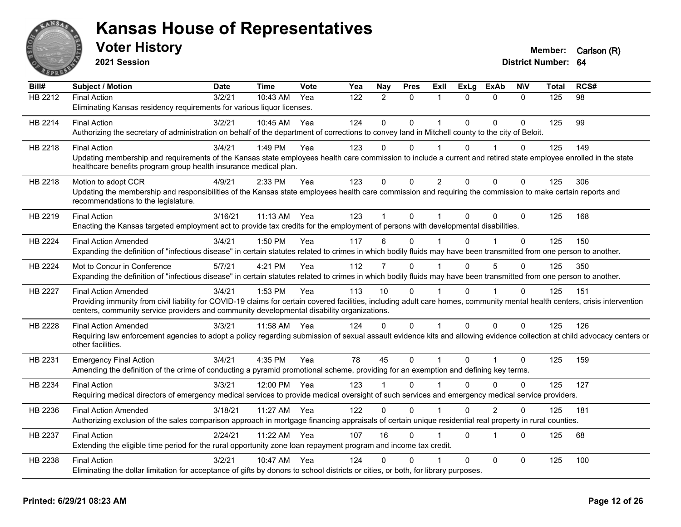

**2021 Session**

| Bill#          | <b>Subject / Motion</b>                                                                                                                                                                           | <b>Date</b> | <b>Time</b> | Vote | Yea | Nay            | <b>Pres</b> | ExII           | ExLg     | <b>ExAb</b> | <b>NIV</b>   | <b>Total</b> | RCS# |
|----------------|---------------------------------------------------------------------------------------------------------------------------------------------------------------------------------------------------|-------------|-------------|------|-----|----------------|-------------|----------------|----------|-------------|--------------|--------------|------|
| HB 2212        | <b>Final Action</b>                                                                                                                                                                               | 3/2/21      | $10:43$ AM  | Yea  | 122 | $\mathcal{P}$  | $\Omega$    | 1              | $\Omega$ | $\Omega$    | $\Omega$     | 125          | 98   |
|                | Eliminating Kansas residency requirements for various liquor licenses.                                                                                                                            |             |             |      |     |                |             |                |          |             |              |              |      |
| HB 2214        | <b>Final Action</b>                                                                                                                                                                               | 3/2/21      | 10:45 AM    | Yea  | 124 | $\Omega$       | $\Omega$    | 1              | $\Omega$ | $\Omega$    | $\Omega$     | 125          | 99   |
|                | Authorizing the secretary of administration on behalf of the department of corrections to convey land in Mitchell county to the city of Beloit.                                                   |             |             |      |     |                |             |                |          |             |              |              |      |
| HB 2218        | <b>Final Action</b>                                                                                                                                                                               | 3/4/21      | 1:49 PM     | Yea  | 123 | 0              | $\Omega$    |                | $\Omega$ |             | 0            | 125          | 149  |
|                | Updating membership and requirements of the Kansas state employees health care commission to include a current and retired state employee enrolled in the state                                   |             |             |      |     |                |             |                |          |             |              |              |      |
|                | healthcare benefits program group health insurance medical plan.                                                                                                                                  |             |             |      |     |                |             |                |          |             |              |              |      |
| HB 2218        | Motion to adopt CCR                                                                                                                                                                               | 4/9/21      | 2:33 PM     | Yea  | 123 | $\Omega$       | $\Omega$    | $\overline{2}$ | $\Omega$ | $\Omega$    | $\mathbf{0}$ | 125          | 306  |
|                | Updating the membership and responsibilities of the Kansas state employees health care commission and requiring the commission to make certain reports and<br>recommendations to the legislature. |             |             |      |     |                |             |                |          |             |              |              |      |
| HB 2219        | <b>Final Action</b>                                                                                                                                                                               | 3/16/21     | 11:13 AM    | Yea  | 123 |                | $\Omega$    |                | $\Omega$ | $\Omega$    | $\Omega$     | 125          | 168  |
|                | Enacting the Kansas targeted employment act to provide tax credits for the employment of persons with developmental disabilities.                                                                 |             |             |      |     |                |             |                |          |             |              |              |      |
| HB 2224        | <b>Final Action Amended</b>                                                                                                                                                                       | 3/4/21      | 1:50 PM     | Yea  | 117 | 6              | 0           |                | 0        |             | 0            | 125          | 150  |
|                | Expanding the definition of "infectious disease" in certain statutes related to crimes in which bodily fluids may have been transmitted from one person to another.                               |             |             |      |     |                |             |                |          |             |              |              |      |
| HB 2224        | Mot to Concur in Conference                                                                                                                                                                       | 5/7/21      | 4:21 PM     | Yea  | 112 | $\overline{7}$ | $\Omega$    |                | $\Omega$ | 5           | $\Omega$     | 125          | 350  |
|                | Expanding the definition of "infectious disease" in certain statutes related to crimes in which bodily fluids may have been transmitted from one person to another.                               |             |             |      |     |                |             |                |          |             |              |              |      |
| <b>HB 2227</b> | <b>Final Action Amended</b>                                                                                                                                                                       | 3/4/21      | 1:53 PM     | Yea  | 113 | 10             | $\Omega$    |                | $\Omega$ |             | $\Omega$     | 125          | 151  |
|                | Providing immunity from civil liability for COVID-19 claims for certain covered facilities, including adult care homes, community mental health centers, crisis intervention                      |             |             |      |     |                |             |                |          |             |              |              |      |
|                | centers, community service providers and community developmental disability organizations.                                                                                                        |             |             |      |     |                |             |                |          |             |              |              |      |
| HB 2228        | <b>Final Action Amended</b>                                                                                                                                                                       | 3/3/21      | 11:58 AM    | Yea  | 124 | $\Omega$       | $\Omega$    | 1              | $\Omega$ | $\Omega$    | $\Omega$     | 125          | 126  |
|                | Requiring law enforcement agencies to adopt a policy regarding submission of sexual assault evidence kits and allowing evidence collection at child advocacy centers or<br>other facilities.      |             |             |      |     |                |             |                |          |             |              |              |      |
| HB 2231        | <b>Emergency Final Action</b>                                                                                                                                                                     | 3/4/21      | 4:35 PM     | Yea  | 78  | 45             | 0           | $\mathbf 1$    | $\Omega$ | 1           | $\Omega$     | 125          | 159  |
|                | Amending the definition of the crime of conducting a pyramid promotional scheme, providing for an exemption and defining key terms.                                                               |             |             |      |     |                |             |                |          |             |              |              |      |
| HB 2234        | <b>Final Action</b>                                                                                                                                                                               | 3/3/21      | 12:00 PM    | Yea  | 123 |                | $\Omega$    |                | $\Omega$ | $\Omega$    | $\Omega$     | 125          | 127  |
|                | Requiring medical directors of emergency medical services to provide medical oversight of such services and emergency medical service providers.                                                  |             |             |      |     |                |             |                |          |             |              |              |      |
| HB 2236        | <b>Final Action Amended</b>                                                                                                                                                                       | 3/18/21     | 11:27 AM    | Yea  | 122 | $\Omega$       | $\Omega$    |                | $\Omega$ | 2           | $\Omega$     | 125          | 181  |
|                | Authorizing exclusion of the sales comparison approach in mortgage financing appraisals of certain unique residential real property in rural counties.                                            |             |             |      |     |                |             |                |          |             |              |              |      |
| HB 2237        | <b>Final Action</b>                                                                                                                                                                               | 2/24/21     | 11:22 AM    | Yea  | 107 | 16             | $\Omega$    |                | $\Omega$ | 1           | $\Omega$     | 125          | 68   |
|                | Extending the eligible time period for the rural opportunity zone loan repayment program and income tax credit.                                                                                   |             |             |      |     |                |             |                |          |             |              |              |      |
| HB 2238        | <b>Final Action</b>                                                                                                                                                                               | 3/2/21      | 10:47 AM    | Yea  | 124 | 0              | 0           |                | $\Omega$ | $\Omega$    | $\Omega$     | 125          | 100  |
|                | Eliminating the dollar limitation for acceptance of gifts by donors to school districts or cities, or both, for library purposes.                                                                 |             |             |      |     |                |             |                |          |             |              |              |      |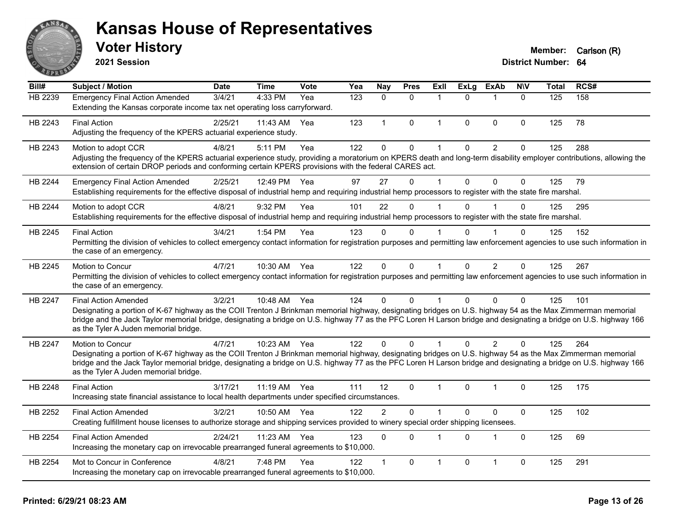

**2021 Session**

| Bill#   | Subject / Motion                                                                                                                                                                                                                                                                                                                                                          | <b>Date</b> | <b>Time</b>  | <b>Vote</b> | Yea | Nay            | <b>Pres</b>  | ExII           | <b>ExLg</b>  | <b>ExAb</b>             | <b>NIV</b>   | <b>Total</b> | RCS# |
|---------|---------------------------------------------------------------------------------------------------------------------------------------------------------------------------------------------------------------------------------------------------------------------------------------------------------------------------------------------------------------------------|-------------|--------------|-------------|-----|----------------|--------------|----------------|--------------|-------------------------|--------------|--------------|------|
| HB 2239 | <b>Emergency Final Action Amended</b>                                                                                                                                                                                                                                                                                                                                     | 3/4/21      | 4:33 PM      | Yea         | 123 | $\Omega$       | $\mathbf{0}$ | $\mathbf{1}$   | $\Omega$     | $\overline{\mathbf{1}}$ | $\mathbf{0}$ | 125          | 158  |
|         | Extending the Kansas corporate income tax net operating loss carryforward.                                                                                                                                                                                                                                                                                                |             |              |             |     |                |              |                |              |                         |              |              |      |
| HB 2243 | <b>Final Action</b>                                                                                                                                                                                                                                                                                                                                                       | 2/25/21     | 11:43 AM     | Yea         | 123 | $\mathbf{1}$   | 0            | $\mathbf{1}$   | $\mathbf 0$  | $\mathbf 0$             | $\mathbf 0$  | 125          | 78   |
|         | Adjusting the frequency of the KPERS actuarial experience study.                                                                                                                                                                                                                                                                                                          |             |              |             |     |                |              |                |              |                         |              |              |      |
| HB 2243 | Motion to adopt CCR                                                                                                                                                                                                                                                                                                                                                       | 4/8/21      | 5:11 PM      | Yea         | 122 | 0              | 0            | 1              | 0            | $\overline{c}$          | $\mathbf 0$  | 125          | 288  |
|         | Adjusting the frequency of the KPERS actuarial experience study, providing a moratorium on KPERS death and long-term disability employer contributions, allowing the<br>extension of certain DROP periods and conforming certain KPERS provisions with the federal CARES act.                                                                                             |             |              |             |     |                |              |                |              |                         |              |              |      |
| HB 2244 | <b>Emergency Final Action Amended</b>                                                                                                                                                                                                                                                                                                                                     | 2/25/21     | 12:49 PM     | Yea         | 97  | 27             | $\Omega$     | 1              | $\Omega$     | $\Omega$                | $\Omega$     | 125          | 79   |
|         | Establishing requirements for the effective disposal of industrial hemp and requiring industrial hemp processors to register with the state fire marshal.                                                                                                                                                                                                                 |             |              |             |     |                |              |                |              |                         |              |              |      |
| HB 2244 | Motion to adopt CCR                                                                                                                                                                                                                                                                                                                                                       | 4/8/21      | 9:32 PM      | Yea         | 101 | 22             | $\Omega$     |                | $\Omega$     |                         | $\Omega$     | 125          | 295  |
|         | Establishing requirements for the effective disposal of industrial hemp and requiring industrial hemp processors to register with the state fire marshal.                                                                                                                                                                                                                 |             |              |             |     |                |              |                |              |                         |              |              |      |
| HB 2245 | <b>Final Action</b>                                                                                                                                                                                                                                                                                                                                                       | 3/4/21      | 1:54 PM      | Yea         | 123 | $\Omega$       | $\Omega$     |                | 0            |                         | 0            | 125          | 152  |
|         | Permitting the division of vehicles to collect emergency contact information for registration purposes and permitting law enforcement agencies to use such information in<br>the case of an emergency.                                                                                                                                                                    |             |              |             |     |                |              |                |              |                         |              |              |      |
| HB 2245 | Motion to Concur                                                                                                                                                                                                                                                                                                                                                          | 4/7/21      | 10:30 AM     | Yea         | 122 | $\mathbf{0}$   | $\Omega$     | $\mathbf{1}$   | $\Omega$     | 2                       | $\mathbf{0}$ | 125          | 267  |
|         | Permitting the division of vehicles to collect emergency contact information for registration purposes and permitting law enforcement agencies to use such information in<br>the case of an emergency.                                                                                                                                                                    |             |              |             |     |                |              |                |              |                         |              |              |      |
| HB 2247 | <b>Final Action Amended</b>                                                                                                                                                                                                                                                                                                                                               | 3/2/21      | 10:48 AM Yea |             | 124 | $\Omega$       | $\Omega$     | 1              | $\Omega$     | $\mathbf{0}$            | $\mathbf 0$  | 125          | 101  |
|         | Designating a portion of K-67 highway as the COII Trenton J Brinkman memorial highway, designating bridges on U.S. highway 54 as the Max Zimmerman memorial<br>bridge and the Jack Taylor memorial bridge, designating a bridge on U.S. highway 77 as the PFC Loren H Larson bridge and designating a bridge on U.S. highway 166<br>as the Tyler A Juden memorial bridge. |             |              |             |     |                |              |                |              |                         |              |              |      |
| HB 2247 | Motion to Concur                                                                                                                                                                                                                                                                                                                                                          | 4/7/21      | 10:23 AM Yea |             | 122 | $\Omega$       | $\Omega$     |                | $\Omega$     | 2                       | $\Omega$     | 125          | 264  |
|         | Designating a portion of K-67 highway as the COII Trenton J Brinkman memorial highway, designating bridges on U.S. highway 54 as the Max Zimmerman memorial                                                                                                                                                                                                               |             |              |             |     |                |              |                |              |                         |              |              |      |
|         | bridge and the Jack Taylor memorial bridge, designating a bridge on U.S. highway 77 as the PFC Loren H Larson bridge and designating a bridge on U.S. highway 166<br>as the Tyler A Juden memorial bridge.                                                                                                                                                                |             |              |             |     |                |              |                |              |                         |              |              |      |
| HB 2248 | <b>Final Action</b>                                                                                                                                                                                                                                                                                                                                                       | 3/17/21     | 11:19 AM Yea |             | 111 | 12             | $\Omega$     | $\overline{1}$ | $\Omega$     | 1                       | 0            | 125          | 175  |
|         | Increasing state financial assistance to local health departments under specified circumstances.                                                                                                                                                                                                                                                                          |             |              |             |     |                |              |                |              |                         |              |              |      |
| HB 2252 | <b>Final Action Amended</b>                                                                                                                                                                                                                                                                                                                                               | 3/2/21      | 10:50 AM     | Yea         | 122 | $\overline{2}$ | $\Omega$     | 1              | $\mathbf{0}$ | $\Omega$                | $\mathbf 0$  | 125          | 102  |
|         | Creating fulfillment house licenses to authorize storage and shipping services provided to winery special order shipping licensees.                                                                                                                                                                                                                                       |             |              |             |     |                |              |                |              |                         |              |              |      |
| HB 2254 | <b>Final Action Amended</b>                                                                                                                                                                                                                                                                                                                                               | 2/24/21     | 11:23 AM     | Yea         | 123 | $\Omega$       | $\Omega$     | 1              | $\mathbf{0}$ | $\mathbf{1}$            | $\mathbf 0$  | 125          | 69   |
|         | Increasing the monetary cap on irrevocable prearranged funeral agreements to \$10,000.                                                                                                                                                                                                                                                                                    |             |              |             |     |                |              |                |              |                         |              |              |      |
| HB 2254 | Mot to Concur in Conference                                                                                                                                                                                                                                                                                                                                               | 4/8/21      | 7:48 PM      | Yea         | 122 | 1              | 0            | 1              | $\mathbf 0$  | $\mathbf{1}$            | $\mathbf 0$  | 125          | 291  |
|         | Increasing the monetary cap on irrevocable prearranged funeral agreements to \$10,000.                                                                                                                                                                                                                                                                                    |             |              |             |     |                |              |                |              |                         |              |              |      |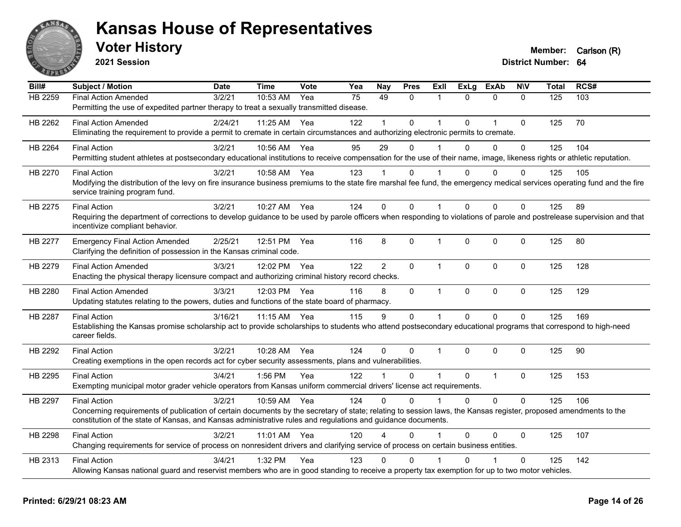

**2021 Session**

| Bill#          | <b>Subject / Motion</b>                                                                                                                                                                                                                                                          | <b>Date</b> | <b>Time</b>  | Vote | Yea             | <b>Nay</b>     | <b>Pres</b>  | Exll         | <b>ExLg</b>  | <b>ExAb</b>    | <b>NIV</b>   | <b>Total</b> | RCS# |
|----------------|----------------------------------------------------------------------------------------------------------------------------------------------------------------------------------------------------------------------------------------------------------------------------------|-------------|--------------|------|-----------------|----------------|--------------|--------------|--------------|----------------|--------------|--------------|------|
| <b>HB 2259</b> | <b>Final Action Amended</b>                                                                                                                                                                                                                                                      | 3/2/21      | 10:53 AM     | Yea  | $\overline{75}$ | 49             | $\mathbf{0}$ | $\mathbf{1}$ | $\Omega$     | $\mathbf{0}$   | $\mathbf{0}$ | 125          | 103  |
|                | Permitting the use of expedited partner therapy to treat a sexually transmitted disease.                                                                                                                                                                                         |             |              |      |                 |                |              |              |              |                |              |              |      |
| HB 2262        | <b>Final Action Amended</b>                                                                                                                                                                                                                                                      | 2/24/21     | 11:25 AM     | Yea  | 122             | 1              | $\Omega$     | $\mathbf 1$  | $\Omega$     | $\overline{1}$ | $\mathbf 0$  | 125          | 70   |
|                | Eliminating the requirement to provide a permit to cremate in certain circumstances and authorizing electronic permits to cremate.                                                                                                                                               |             |              |      |                 |                |              |              |              |                |              |              |      |
| HB 2264        | <b>Final Action</b>                                                                                                                                                                                                                                                              | 3/2/21      | 10:56 AM     | Yea  | 95              | 29             | $\Omega$     | 1            | $\Omega$     | $\Omega$       | 0            | 125          | 104  |
|                | Permitting student athletes at postsecondary educational institutions to receive compensation for the use of their name, image, likeness rights or athletic reputation.                                                                                                          |             |              |      |                 |                |              |              |              |                |              |              |      |
| HB 2270        | <b>Final Action</b>                                                                                                                                                                                                                                                              | 3/2/21      | 10:58 AM     | Yea  | 123             |                | 0            |              | 0            | $\Omega$       | 0            | 125          | 105  |
|                | Modifying the distribution of the levy on fire insurance business premiums to the state fire marshal fee fund, the emergency medical services operating fund and the fire                                                                                                        |             |              |      |                 |                |              |              |              |                |              |              |      |
|                | service training program fund.                                                                                                                                                                                                                                                   |             |              |      |                 |                |              |              |              |                |              |              |      |
| HB 2275        | <b>Final Action</b>                                                                                                                                                                                                                                                              | 3/2/21      | 10:27 AM Yea |      | 124             | $\Omega$       | $\Omega$     | 1            | $\Omega$     | $\Omega$       | 0            | 125          | 89   |
|                | Requiring the department of corrections to develop guidance to be used by parole officers when responding to violations of parole and postrelease supervision and that                                                                                                           |             |              |      |                 |                |              |              |              |                |              |              |      |
|                | incentivize compliant behavior.                                                                                                                                                                                                                                                  |             |              |      |                 |                |              |              |              |                |              |              |      |
| HB 2277        | <b>Emergency Final Action Amended</b>                                                                                                                                                                                                                                            | 2/25/21     | 12:51 PM     | Yea  | 116             | 8              | 0            | $\mathbf{1}$ | $\mathbf 0$  | 0              | 0            | 125          | 80   |
|                | Clarifying the definition of possession in the Kansas criminal code.                                                                                                                                                                                                             |             |              |      |                 |                |              |              |              |                |              |              |      |
| HB 2279        | <b>Final Action Amended</b>                                                                                                                                                                                                                                                      | 3/3/21      | 12:02 PM     | Yea  | 122             | $\overline{2}$ | $\mathbf{0}$ | $\mathbf{1}$ | $\Omega$     | $\mathbf{0}$   | $\mathbf 0$  | 125          | 128  |
|                | Enacting the physical therapy licensure compact and authorizing criminal history record checks.                                                                                                                                                                                  |             |              |      |                 |                |              |              |              |                |              |              |      |
| HB 2280        | <b>Final Action Amended</b>                                                                                                                                                                                                                                                      | 3/3/21      | 12:03 PM Yea |      | 116             | 8              | $\mathbf 0$  | $\mathbf{1}$ | $\mathbf 0$  | $\mathbf 0$    | $\mathbf 0$  | 125          | 129  |
|                | Updating statutes relating to the powers, duties and functions of the state board of pharmacy.                                                                                                                                                                                   |             |              |      |                 |                |              |              |              |                |              |              |      |
| HB 2287        | <b>Final Action</b>                                                                                                                                                                                                                                                              | 3/16/21     | 11:15 AM     | Yea  | 115             | 9              | $\mathbf 0$  | $\mathbf{1}$ | $\mathbf{0}$ | $\mathbf 0$    | 0            | 125          | 169  |
|                | Establishing the Kansas promise scholarship act to provide scholarships to students who attend postsecondary educational programs that correspond to high-need                                                                                                                   |             |              |      |                 |                |              |              |              |                |              |              |      |
|                | career fields.                                                                                                                                                                                                                                                                   |             |              |      |                 |                |              |              |              |                |              |              |      |
| HB 2292        | <b>Final Action</b>                                                                                                                                                                                                                                                              | 3/2/21      | 10:28 AM     | Yea  | 124             | $\Omega$       | $\Omega$     | 1            | $\Omega$     | $\Omega$       | 0            | 125          | 90   |
|                | Creating exemptions in the open records act for cyber security assessments, plans and vulnerabilities.                                                                                                                                                                           |             |              |      |                 |                |              |              |              |                |              |              |      |
|                |                                                                                                                                                                                                                                                                                  |             |              |      |                 | $\mathbf 1$    |              | $\mathbf{1}$ |              |                |              |              |      |
| HB 2295        | <b>Final Action</b><br>Exempting municipal motor grader vehicle operators from Kansas uniform commercial drivers' license act requirements.                                                                                                                                      | 3/4/21      | 1:56 PM      | Yea  | 122             |                | $\Omega$     |              | $\mathbf{0}$ | $\mathbf{1}$   | $\mathbf 0$  | 125          | 153  |
|                |                                                                                                                                                                                                                                                                                  |             |              |      |                 |                |              |              |              |                |              |              |      |
| HB 2297        | <b>Final Action</b>                                                                                                                                                                                                                                                              | 3/2/21      | 10:59 AM     | Yea  | 124             | $\Omega$       | $\Omega$     | $\mathbf{1}$ | $\Omega$     | $\mathbf 0$    | 0            | 125          | 106  |
|                | Concerning requirements of publication of certain documents by the secretary of state; relating to session laws, the Kansas register, proposed amendments to the<br>constitution of the state of Kansas, and Kansas administrative rules and regulations and guidance documents. |             |              |      |                 |                |              |              |              |                |              |              |      |
|                |                                                                                                                                                                                                                                                                                  |             |              |      |                 |                |              |              |              |                |              |              |      |
| HB 2298        | <b>Final Action</b>                                                                                                                                                                                                                                                              | 3/2/21      | 11:01 AM Yea |      | 120             | Δ              | $\mathbf{0}$ | 1            | $\mathbf{0}$ | 0              | 0            | 125          | 107  |
|                | Changing requirements for service of process on nonresident drivers and clarifying service of process on certain business entities.                                                                                                                                              |             |              |      |                 |                |              |              |              |                |              |              |      |
| HB 2313        | <b>Final Action</b>                                                                                                                                                                                                                                                              | 3/4/21      | 1:32 PM      | Yea  | 123             | $\Omega$       | 0            |              | $\Omega$     |                | 0            | 125          | 142  |
|                | Allowing Kansas national guard and reservist members who are in good standing to receive a property tax exemption for up to two motor vehicles.                                                                                                                                  |             |              |      |                 |                |              |              |              |                |              |              |      |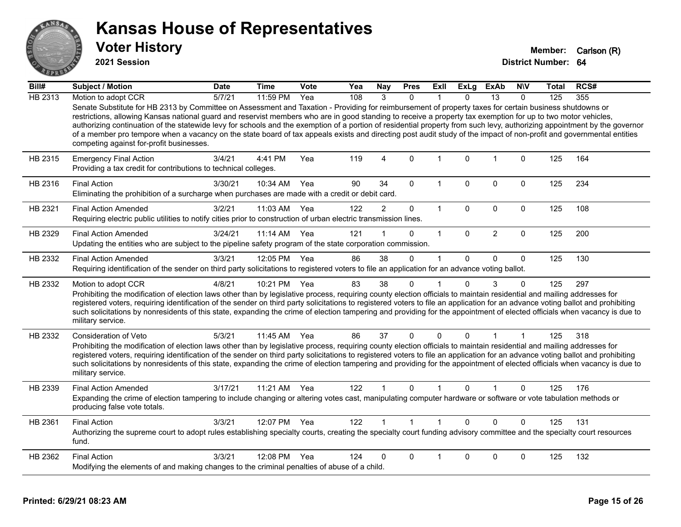

**2021 Session**

| Bill#   | <b>Subject / Motion</b>                                                                                                                                                                                                                                                                                                                                                                                                                                                                                                                                                                                                                                                                                                   | <b>Date</b> | Time         | Vote | Yea | <b>Nay</b>     | <b>Pres</b>    | Exll         | <b>ExLg</b> | ExAb            | <b>NIV</b>   | <b>Total</b> | RCS# |
|---------|---------------------------------------------------------------------------------------------------------------------------------------------------------------------------------------------------------------------------------------------------------------------------------------------------------------------------------------------------------------------------------------------------------------------------------------------------------------------------------------------------------------------------------------------------------------------------------------------------------------------------------------------------------------------------------------------------------------------------|-------------|--------------|------|-----|----------------|----------------|--------------|-------------|-----------------|--------------|--------------|------|
| HB 2313 | Motion to adopt CCR                                                                                                                                                                                                                                                                                                                                                                                                                                                                                                                                                                                                                                                                                                       | 5/7/21      | 11:59 PM     | Yea  | 108 | 3              | $\mathbf{0}$   |              | $\Omega$    | $\overline{13}$ | $\mathbf{0}$ | 125          | 355  |
|         | Senate Substitute for HB 2313 by Committee on Assessment and Taxation - Providing for reimbursement of property taxes for certain business shutdowns or<br>restrictions, allowing Kansas national guard and reservist members who are in good standing to receive a property tax exemption for up to two motor vehicles,<br>authorizing continuation of the statewide levy for schools and the exemption of a portion of residential property from such levy, authorizing appointment by the governor<br>of a member pro tempore when a vacancy on the state board of tax appeals exists and directing post audit study of the impact of non-profit and governmental entities<br>competing against for-profit businesses. |             |              |      |     |                |                |              |             |                 |              |              |      |
| HB 2315 | <b>Emergency Final Action</b><br>Providing a tax credit for contributions to technical colleges.                                                                                                                                                                                                                                                                                                                                                                                                                                                                                                                                                                                                                          | 3/4/21      | 4:41 PM      | Yea  | 119 | $\overline{4}$ | $\mathbf 0$    | $\mathbf{1}$ | $\Omega$    | $\mathbf{1}$    | $\mathbf 0$  | 125          | 164  |
| HB 2316 | <b>Final Action</b><br>Eliminating the prohibition of a surcharge when purchases are made with a credit or debit card.                                                                                                                                                                                                                                                                                                                                                                                                                                                                                                                                                                                                    | 3/30/21     | 10:34 AM     | Yea  | 90  | 34             | $\mathbf{0}$   | 1            | $\Omega$    | $\Omega$        | $\mathbf{0}$ | 125          | 234  |
| HB 2321 | <b>Final Action Amended</b><br>Requiring electric public utilities to notify cities prior to construction of urban electric transmission lines.                                                                                                                                                                                                                                                                                                                                                                                                                                                                                                                                                                           | 3/2/21      | 11:03 AM     | Yea  | 122 | $\overline{2}$ | $\pmb{0}$      | $\mathbf{1}$ | $\mathbf 0$ | 0               | $\mathbf 0$  | 125          | 108  |
| HB 2329 | <b>Final Action Amended</b><br>Updating the entities who are subject to the pipeline safety program of the state corporation commission.                                                                                                                                                                                                                                                                                                                                                                                                                                                                                                                                                                                  | 3/24/21     | $11:14$ AM   | Yea  | 121 |                | $\mathbf{0}$   | $\mathbf{1}$ | $\Omega$    | $\overline{2}$  | $\mathbf{0}$ | 125          | 200  |
| HB 2332 | <b>Final Action Amended</b><br>Requiring identification of the sender on third party solicitations to registered voters to file an application for an advance voting ballot.                                                                                                                                                                                                                                                                                                                                                                                                                                                                                                                                              | 3/3/21      | 12:05 PM Yea |      | 86  | 38             | $\mathbf{0}$   | 1            | $\Omega$    | $\Omega$        | $\mathbf{0}$ | 125          | 130  |
| HB 2332 | Motion to adopt CCR<br>Prohibiting the modification of election laws other than by legislative process, requiring county election officials to maintain residential and mailing addresses for<br>registered voters, requiring identification of the sender on third party solicitations to registered voters to file an application for an advance voting ballot and prohibiting<br>such solicitations by nonresidents of this state, expanding the crime of election tampering and providing for the appointment of elected officials when vacancy is due to<br>military service.                                                                                                                                        | 4/8/21      | 10:21 PM     | Yea  | 83  | 38             | $\mathbf 0$    | $\mathbf{1}$ | $\Omega$    | 3               | 0            | 125          | 297  |
| HB 2332 | Consideration of Veto<br>Prohibiting the modification of election laws other than by legislative process, requiring county election officials to maintain residential and mailing addresses for<br>registered voters, requiring identification of the sender on third party solicitations to registered voters to file an application for an advance voting ballot and prohibiting<br>such solicitations by nonresidents of this state, expanding the crime of election tampering and providing for the appointment of elected officials when vacancy is due to<br>military service.                                                                                                                                      | 5/3/21      | 11:45 AM     | Yea  | 86  | 37             | $\mathbf 0$    | 0            | $\Omega$    | 1               | 1            | 125          | 318  |
| HB 2339 | <b>Final Action Amended</b><br>Expanding the crime of election tampering to include changing or altering votes cast, manipulating computer hardware or software or vote tabulation methods or<br>producing false vote totals.                                                                                                                                                                                                                                                                                                                                                                                                                                                                                             | 3/17/21     | 11:21 AM     | Yea  | 122 | 1              | $\mathbf{0}$   | 1            | 0           |                 | $\Omega$     | 125          | 176  |
| HB 2361 | <b>Final Action</b><br>Authorizing the supreme court to adopt rules establishing specialty courts, creating the specialty court funding advisory committee and the specialty court resources<br>fund.                                                                                                                                                                                                                                                                                                                                                                                                                                                                                                                     | 3/3/21      | 12:07 PM Yea |      | 122 | $\mathbf{1}$   | $\overline{1}$ | $\mathbf{1}$ | $\Omega$    | $\Omega$        | $\Omega$     | 125          | 131  |
| HB 2362 | <b>Final Action</b><br>Modifying the elements of and making changes to the criminal penalties of abuse of a child.                                                                                                                                                                                                                                                                                                                                                                                                                                                                                                                                                                                                        | 3/3/21      | 12:08 PM     | Yea  | 124 | $\Omega$       | $\Omega$       |              | U           | $\Omega$        | $\Omega$     | 125          | 132  |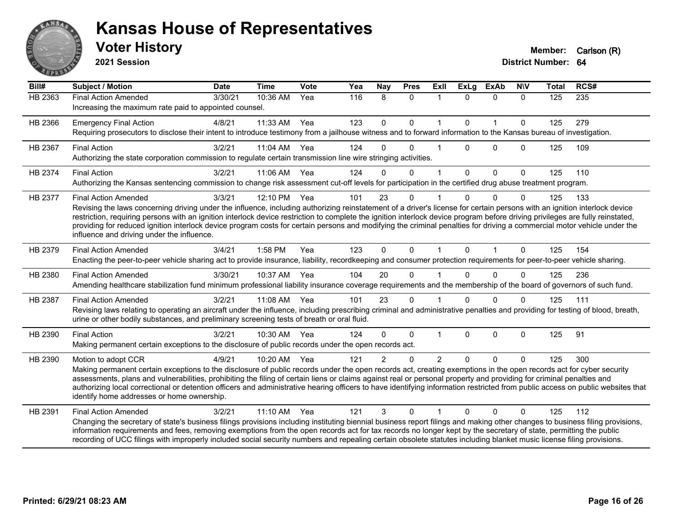

**2021 Session**

| Bill#          | <b>Subject / Motion</b>                                                                                                                                                                                                                                                                                                                                                                                                                                                                                                                                                                                             | <b>Date</b> | <b>Time</b> | Vote | Yea | Nay           | <b>Pres</b> | Exll           | <b>ExLg</b>  | <b>ExAb</b>    | <b>NIV</b>   | <b>Total</b> | RCS# |
|----------------|---------------------------------------------------------------------------------------------------------------------------------------------------------------------------------------------------------------------------------------------------------------------------------------------------------------------------------------------------------------------------------------------------------------------------------------------------------------------------------------------------------------------------------------------------------------------------------------------------------------------|-------------|-------------|------|-----|---------------|-------------|----------------|--------------|----------------|--------------|--------------|------|
| <b>HB 2363</b> | <b>Final Action Amended</b><br>Increasing the maximum rate paid to appointed counsel.                                                                                                                                                                                                                                                                                                                                                                                                                                                                                                                               | 3/30/21     | 10:36 AM    | Yea  | 116 | 8             | $\Omega$    | -1             | $\Omega$     | $\Omega$       | $\Omega$     | 125          | 235  |
| HB 2366        | <b>Emergency Final Action</b><br>Requiring prosecutors to disclose their intent to introduce testimony from a jailhouse witness and to forward information to the Kansas bureau of investigation.                                                                                                                                                                                                                                                                                                                                                                                                                   | 4/8/21      | 11:33 AM    | Yea  | 123 | $\mathbf 0$   | 0           | $\mathbf{1}$   | $\mathbf 0$  | $\mathbf{1}$   | $\Omega$     | 125          | 279  |
| HB 2367        | <b>Final Action</b><br>Authorizing the state corporation commission to regulate certain transmission line wire stringing activities.                                                                                                                                                                                                                                                                                                                                                                                                                                                                                | 3/2/21      | 11:04 AM    | Yea  | 124 | 0             | $\Omega$    |                | $\Omega$     | $\Omega$       | $\mathbf{0}$ | 125          | 109  |
| HB 2374        | <b>Final Action</b><br>Authorizing the Kansas sentencing commission to change risk assessment cut-off levels for participation in the certified drug abuse treatment program.                                                                                                                                                                                                                                                                                                                                                                                                                                       | 3/2/21      | 11:06 AM    | Yea  | 124 | $\Omega$      | 0           | $\overline{1}$ | $\mathbf{0}$ | $\mathbf{0}$   | $\mathbf 0$  | 125          | 110  |
| HB 2377        | <b>Final Action Amended</b><br>Revising the laws concerning driving under the influence, including authorizing reinstatement of a driver's license for certain persons with an ignition interlock device<br>restriction, requiring persons with an ignition interlock device restriction to complete the ignition interlock device program before driving privileges are fully reinstated,<br>providing for reduced ignition interlock device program costs for certain persons and modifying the criminal penalties for driving a commercial motor vehicle under the<br>influence and driving under the influence. | 3/3/21      | 12:10 PM    | Yea  | 101 | 23            | 0           |                | $\Omega$     | $\Omega$       | $\mathbf{0}$ | 125          | 133  |
| HB 2379        | <b>Final Action Amended</b><br>Enacting the peer-to-peer vehicle sharing act to provide insurance, liability, recordkeeping and consumer protection requirements for peer-to-peer vehicle sharing.                                                                                                                                                                                                                                                                                                                                                                                                                  | 3/4/21      | 1:58 PM     | Yea  | 123 | $\Omega$      | 0           | $\mathbf{1}$   | $\Omega$     | $\overline{1}$ | $\Omega$     | 125          | 154  |
| HB 2380        | <b>Final Action Amended</b><br>Amending healthcare stabilization fund minimum professional liability insurance coverage requirements and the membership of the board of governors of such fund.                                                                                                                                                                                                                                                                                                                                                                                                                     | 3/30/21     | 10:37 AM    | Yea  | 104 | 20            | $\Omega$    |                | $\Omega$     | $\Omega$       | $\Omega$     | 125          | 236  |
| HB 2387        | <b>Final Action Amended</b><br>Revising laws relating to operating an aircraft under the influence, including prescribing criminal and administrative penalties and providing for testing of blood, breath,<br>urine or other bodily substances, and preliminary screening tests of breath or oral fluid.                                                                                                                                                                                                                                                                                                           | 3/2/21      | 11:08 AM    | Yea  | 101 | 23            | $\Omega$    |                | $\Omega$     | $\Omega$       | $\Omega$     | 125          | 111  |
| HB 2390        | <b>Final Action</b><br>Making permanent certain exceptions to the disclosure of public records under the open records act.                                                                                                                                                                                                                                                                                                                                                                                                                                                                                          | 3/2/21      | 10:30 AM    | Yea  | 124 | $\Omega$      | 0           | $\overline{1}$ | $\Omega$     | $\mathbf{0}$   | $\Omega$     | 125          | 91   |
| HB 2390        | Motion to adopt CCR<br>Making permanent certain exceptions to the disclosure of public records under the open records act, creating exemptions in the open records act for cyber security<br>assessments, plans and vulnerabilities, prohibiting the filing of certain liens or claims against real or personal property and providing for criminal penalties and<br>authorizing local correctional or detention officers and administrative hearing officers to have identifying information restricted from public access on public websites that<br>identify home addresses or home ownership.                   | 4/9/21      | 10:20 AM    | Yea  | 121 | $\mathcal{P}$ | $\Omega$    | $\mathfrak{p}$ | $\Omega$     | $\Omega$       | $\Omega$     | 125          | 300  |
| HB 2391        | <b>Final Action Amended</b><br>Changing the secretary of state's business filings provisions including instituting biennial business report filings and making other changes to business filing provisions,<br>information requirements and fees, removing exemptions from the open records act for tax records no longer kept by the secretary of state, permitting the public<br>recording of UCC filings with improperly included social security numbers and repealing certain obsolete statutes including blanket music license filing provisions.                                                             | 3/2/21      | $11:10$ AM  | Yea  | 121 | 3             | $\Omega$    |                | $\Omega$     | $\Omega$       | $\mathbf{0}$ | 125          | 112  |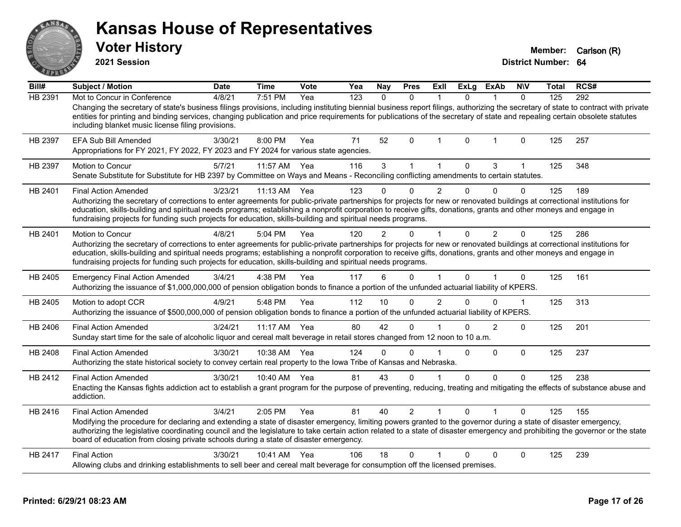| <b>ANSA</b> <sub>S</sub> | <b>Kansas House of Representatives</b><br><b>Voter History</b><br>2021 Session                                                                                                                                                                                                                                                                                                                                                                                                              |         |              |      |     |                |             |      |              |                |            | Member:<br>District Number: 64 | Carlson (R) |
|--------------------------|---------------------------------------------------------------------------------------------------------------------------------------------------------------------------------------------------------------------------------------------------------------------------------------------------------------------------------------------------------------------------------------------------------------------------------------------------------------------------------------------|---------|--------------|------|-----|----------------|-------------|------|--------------|----------------|------------|--------------------------------|-------------|
| Bill#                    | <b>Subject / Motion</b>                                                                                                                                                                                                                                                                                                                                                                                                                                                                     | Date    | <b>Time</b>  | Vote | Yea | <b>Nay</b>     | <b>Pres</b> | Exll | ExLg         | <b>ExAb</b>    | <b>NIV</b> | Total                          | RCS#        |
| HB 2391                  | Mot to Concur in Conference<br>Changing the secretary of state's business filings provisions, including instituting biennial business report filings, authorizing the secretary of state to contract with private<br>entities for printing and binding services, changing publication and price requirements for publications of the secretary of state and repealing certain obsolete statutes<br>including blanket music license filing provisions.                                       | 4/8/21  | $7:51$ PM    | Yea  | 123 | $\Omega$       | 0           | 1    | $\mathbf{0}$ |                | $\Omega$   | 125                            | 292         |
| HB 2397                  | <b>EFA Sub Bill Amended</b><br>Appropriations for FY 2021, FY 2022, FY 2023 and FY 2024 for various state agencies.                                                                                                                                                                                                                                                                                                                                                                         | 3/30/21 | 8:00 PM      | Yea  | 71  | 52             | $\Omega$    | 1    | 0            |                | 0          | 125                            | 257         |
| HB 2397                  | Motion to Concur<br>Senate Substitute for Substitute for HB 2397 by Committee on Ways and Means - Reconciling conflicting amendments to certain statutes.                                                                                                                                                                                                                                                                                                                                   | 5/7/21  | 11:57 AM     | Yea  | 116 | 3              | 1           | 1    | 0            | 3              |            | 125                            | 348         |
| HB 2401                  | <b>Final Action Amended</b><br>Authorizing the secretary of corrections to enter agreements for public-private partnerships for projects for new or renovated buildings at correctional institutions for<br>education, skills-building and spiritual needs programs; establishing a nonprofit corporation to receive gifts, donations, grants and other moneys and engage in<br>fundraising projects for funding such projects for education, skills-building and spiritual needs programs. | 3/23/21 | $11:13$ AM   | Yea  | 123 |                | 0           | 2    | O            |                | 0          | 125                            | 189         |
| HB 2401                  | Motion to Concur<br>Authorizing the secretary of corrections to enter agreements for public-private partnerships for projects for new or renovated buildings at correctional institutions for<br>education, skills-building and spiritual needs programs; establishing a nonprofit corporation to receive gifts, donations, grants and other moneys and engage in<br>fundraising projects for funding such projects for education, skills-building and spiritual needs programs.            | 4/8/21  | 5:04 PM      | Yea  | 120 | $\overline{2}$ | 0           |      | $\Omega$     | $\overline{2}$ | $\Omega$   | 125                            | 286         |
| HB 2405                  | <b>Emergency Final Action Amended</b><br>Authorizing the issuance of \$1,000,000,000 of pension obligation bonds to finance a portion of the unfunded actuarial liability of KPERS.                                                                                                                                                                                                                                                                                                         | 3/4/21  | 4:38 PM      | Yea  | 117 | 6              | $\Omega$    |      | 0            |                | 0          | 125                            | 161         |
| HB 2405                  | Motion to adopt CCR<br>Authorizing the issuance of \$500,000,000 of pension obligation bonds to finance a portion of the unfunded actuarial liability of KPERS.                                                                                                                                                                                                                                                                                                                             | 4/9/21  | 5:48 PM      | Yea  | 112 | 10             | $\Omega$    | 2    | $\Omega$     | 0              | 1          | 125                            | 313         |
| HB 2406                  | <b>Final Action Amended</b><br>Sunday start time for the sale of alcoholic liquor and cereal malt beverage in retail stores changed from 12 noon to 10 a.m.                                                                                                                                                                                                                                                                                                                                 | 3/24/21 | 11:17 AM     | Yea  | 80  | 42             | 0           |      | $\mathbf{0}$ | $\overline{2}$ | $\Omega$   | 125                            | 201         |
| HB 2408                  | <b>Final Action Amended</b><br>Authorizing the state historical society to convey certain real property to the lowa Tribe of Kansas and Nebraska.                                                                                                                                                                                                                                                                                                                                           | 3/30/21 | 10:38 AM     | Yea  | 124 | 0              | 0           |      | $\Omega$     | $\Omega$       | $\Omega$   | 125                            | 237         |
| HB 2412                  | <b>Final Action Amended</b><br>Enacting the Kansas fights addiction act to establish a grant program for the purpose of preventing, reducing, treating and mitigating the effects of substance abuse and<br>addiction.                                                                                                                                                                                                                                                                      | 3/30/21 | 10:40 AM Yea |      | 81  | 43             | 0           |      | $\Omega$     | 0              | $\Omega$   | 125                            | 238         |
| HB 2416                  | <b>Final Action Amended</b><br>Modifying the procedure for declaring and extending a state of disaster emergency, limiting powers granted to the governor during a state of disaster emergency,<br>authorizing the legislative coordinating council and the legislature to take certain action related to a state of disaster emergency and prohibiting the governor or the state<br>board of education from closing private schools during a state of disaster emergency.                  | 3/4/21  | 2:05 PM      | Yea  | 81  | 40             | 2           |      | 0            |                | 0          | 125                            | 155         |
| HB 2417                  | <b>Final Action</b><br>Allowing clubs and drinking establishments to sell beer and cereal malt beverage for consumption off the licensed premises.                                                                                                                                                                                                                                                                                                                                          | 3/30/21 | 10:41 AM Yea |      | 106 | 18             | 0           | 1    | 0            | 0              | 0          | 125                            | 239         |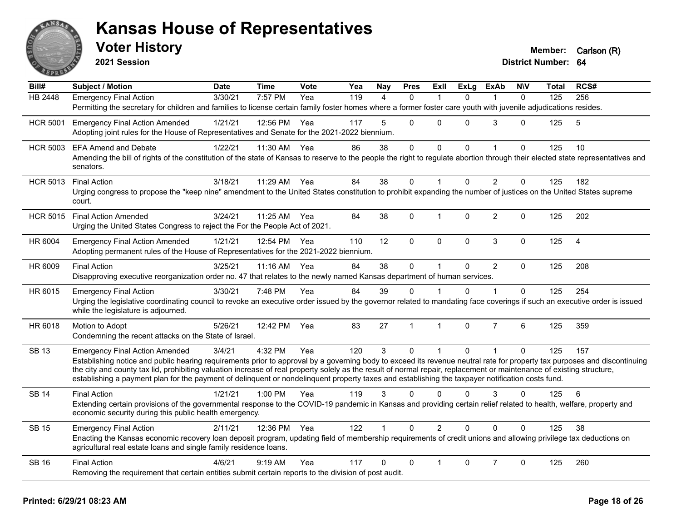

**2021 Session**

| Bill#           | Subject / Motion                                                                                                                                                                                                                     | <b>Date</b> | <b>Time</b>  | Vote | Yea | Nay            | <b>Pres</b>  | <b>Exll</b>    | <b>ExLg</b>  | <b>ExAb</b>    | <b>NIV</b>   | Total | RCS#           |
|-----------------|--------------------------------------------------------------------------------------------------------------------------------------------------------------------------------------------------------------------------------------|-------------|--------------|------|-----|----------------|--------------|----------------|--------------|----------------|--------------|-------|----------------|
| HB 2448         | <b>Emergency Final Action</b>                                                                                                                                                                                                        | 3/30/21     | 7:57 PM      | Yea  | 119 | $\overline{4}$ | $\Omega$     | 1              | $\Omega$     |                | $\mathbf{0}$ | 125   | 256            |
|                 | Permitting the secretary for children and families to license certain family foster homes where a former foster care youth with juvenile adjudications resides.                                                                      |             |              |      |     |                |              |                |              |                |              |       |                |
| <b>HCR 5001</b> | <b>Emergency Final Action Amended</b>                                                                                                                                                                                                | 1/21/21     | 12:56 PM     | Yea  | 117 | 5              | $\Omega$     | $\Omega$       | $\Omega$     | 3              | $\Omega$     | 125   | 5              |
|                 | Adopting joint rules for the House of Representatives and Senate for the 2021-2022 biennium.                                                                                                                                         |             |              |      |     |                |              |                |              |                |              |       |                |
| <b>HCR 5003</b> | <b>EFA Amend and Debate</b>                                                                                                                                                                                                          | 1/22/21     | 11:30 AM     | Yea  | 86  | 38             | 0            | 0              | $\Omega$     |                | $\Omega$     | 125   | 10             |
|                 | Amending the bill of rights of the constitution of the state of Kansas to reserve to the people the right to regulate abortion through their elected state representatives and<br>senators.                                          |             |              |      |     |                |              |                |              |                |              |       |                |
| <b>HCR 5013</b> | <b>Final Action</b>                                                                                                                                                                                                                  | 3/18/21     | 11:29 AM     | Yea  | 84  | 38             | $\mathbf 0$  | $\mathbf{1}$   | $\Omega$     | $\overline{2}$ | $\mathbf 0$  | 125   | 182            |
|                 | Urging congress to propose the "keep nine" amendment to the United States constitution to prohibit expanding the number of justices on the United States supreme<br>court.                                                           |             |              |      |     |                |              |                |              |                |              |       |                |
| <b>HCR 5015</b> | <b>Final Action Amended</b>                                                                                                                                                                                                          | 3/24/21     | 11:25 AM Yea |      | 84  | 38             | $\Omega$     | 1              | $\Omega$     | $\overline{2}$ | $\Omega$     | 125   | 202            |
|                 | Urging the United States Congress to reject the For the People Act of 2021.                                                                                                                                                          |             |              |      |     |                |              |                |              |                |              |       |                |
| HR 6004         | <b>Emergency Final Action Amended</b>                                                                                                                                                                                                | 1/21/21     | 12:54 PM     | Yea  | 110 | 12             | $\mathbf 0$  | $\mathbf 0$    | $\mathbf 0$  | $\mathbf{3}$   | $\mathbf 0$  | 125   | $\overline{4}$ |
|                 | Adopting permanent rules of the House of Representatives for the 2021-2022 biennium.                                                                                                                                                 |             |              |      |     |                |              |                |              |                |              |       |                |
| HR 6009         | <b>Final Action</b>                                                                                                                                                                                                                  | 3/25/21     | 11:16 AM     | Yea  | 84  | 38             | $\mathbf 0$  | $\mathbf{1}$   | $\mathbf{0}$ | $\overline{2}$ | $\Omega$     | 125   | 208            |
|                 | Disapproving executive reorganization order no. 47 that relates to the newly named Kansas department of human services.                                                                                                              |             |              |      |     |                |              |                |              |                |              |       |                |
| HR 6015         | <b>Emergency Final Action</b>                                                                                                                                                                                                        | 3/30/21     | 7:48 PM      | Yea  | 84  | 39             | $\Omega$     |                | 0            |                | $\Omega$     | 125   | 254            |
|                 | Urging the legislative coordinating council to revoke an executive order issued by the governor related to mandating face coverings if such an executive order is issued<br>while the legislature is adjourned.                      |             |              |      |     |                |              |                |              |                |              |       |                |
| HR 6018         | Motion to Adopt                                                                                                                                                                                                                      | 5/26/21     | 12:42 PM     | Yea  | 83  | 27             | $\mathbf{1}$ | $\mathbf{1}$   | $\Omega$     | $\overline{7}$ | 6            | 125   | 359            |
|                 | Condemning the recent attacks on the State of Israel.                                                                                                                                                                                |             |              |      |     |                |              |                |              |                |              |       |                |
| <b>SB 13</b>    | <b>Emergency Final Action Amended</b>                                                                                                                                                                                                | 3/4/21      | 4:32 PM      | Yea  | 120 | $\mathbf{3}$   | $\Omega$     | $\mathbf{1}$   | $\mathbf{0}$ | $\mathbf{1}$   | $\Omega$     | 125   | 157            |
|                 | Establishing notice and public hearing requirements prior to approval by a governing body to exceed its revenue neutral rate for property tax purposes and discontinuing                                                             |             |              |      |     |                |              |                |              |                |              |       |                |
|                 | the city and county tax lid, prohibiting valuation increase of real property solely as the result of normal repair, replacement or maintenance of existing structure,                                                                |             |              |      |     |                |              |                |              |                |              |       |                |
|                 | establishing a payment plan for the payment of delinquent or nondelinquent property taxes and establishing the taxpayer notification costs fund.                                                                                     |             |              |      |     |                |              |                |              |                |              |       |                |
| <b>SB 14</b>    | <b>Final Action</b>                                                                                                                                                                                                                  | 1/21/21     | $1:00$ PM    | Yea  | 119 | 3              | $\Omega$     | $\Omega$       | 0            | 3              | $\Omega$     | 125   | 6              |
|                 | Extending certain provisions of the governmental response to the COVID-19 pandemic in Kansas and providing certain relief related to health, welfare, property and<br>economic security during this public health emergency.         |             |              |      |     |                |              |                |              |                |              |       |                |
| <b>SB 15</b>    | <b>Emergency Final Action</b>                                                                                                                                                                                                        | 2/11/21     | 12:36 PM     | Yea  | 122 |                | $\Omega$     | $\overline{2}$ | $\Omega$     | $\Omega$       | $\Omega$     | 125   | 38             |
|                 | Enacting the Kansas economic recovery loan deposit program, updating field of membership requirements of credit unions and allowing privilege tax deductions on<br>agricultural real estate loans and single family residence loans. |             |              |      |     |                |              |                |              |                |              |       |                |
| <b>SB 16</b>    | <b>Final Action</b>                                                                                                                                                                                                                  | 4/6/21      | $9:19$ AM    | Yea  | 117 | 0              | $\Omega$     | 1              | $\Omega$     | $\overline{7}$ | $\Omega$     | 125   | 260            |
|                 | Removing the requirement that certain entities submit certain reports to the division of post audit.                                                                                                                                 |             |              |      |     |                |              |                |              |                |              |       |                |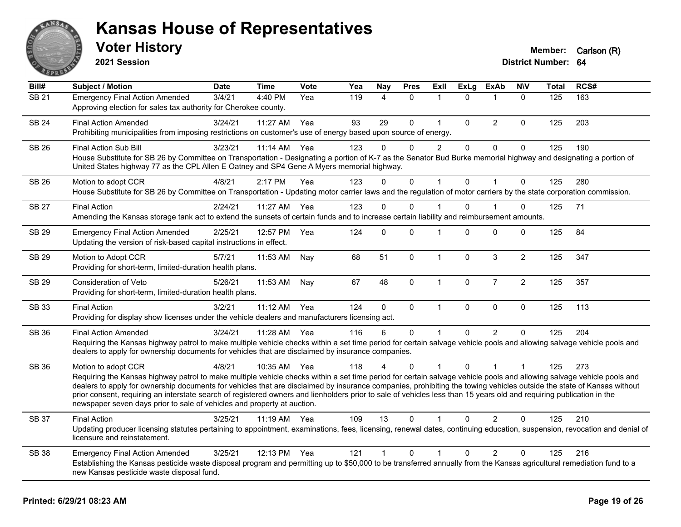

**2021 Session**

| Bill#        | Subject / Motion                                                                                                                                                                                                                                                                                                                                                                                                                                                                                                                                                                                                         | <b>Date</b> | <b>Time</b>  | <b>Vote</b> | Yea | Nay            | <b>Pres</b>  | ExIl           | <b>ExLg</b>  | <b>ExAb</b>    | <b>NIV</b>     | <b>Total</b> | RCS# |
|--------------|--------------------------------------------------------------------------------------------------------------------------------------------------------------------------------------------------------------------------------------------------------------------------------------------------------------------------------------------------------------------------------------------------------------------------------------------------------------------------------------------------------------------------------------------------------------------------------------------------------------------------|-------------|--------------|-------------|-----|----------------|--------------|----------------|--------------|----------------|----------------|--------------|------|
| <b>SB 21</b> | <b>Emergency Final Action Amended</b><br>Approving election for sales tax authority for Cherokee county.                                                                                                                                                                                                                                                                                                                                                                                                                                                                                                                 | 3/4/21      | 4:40 PM      | Yea         | 119 | $\overline{4}$ | $\Omega$     | 1              | $\Omega$     | 1              | $\Omega$       | 125          | 163  |
| <b>SB 24</b> | <b>Final Action Amended</b><br>Prohibiting municipalities from imposing restrictions on customer's use of energy based upon source of energy.                                                                                                                                                                                                                                                                                                                                                                                                                                                                            | 3/24/21     | 11:27 AM     | Yea         | 93  | 29             | 0            | $\mathbf{1}$   | $\mathbf{0}$ | $\overline{2}$ | $\Omega$       | 125          | 203  |
| <b>SB 26</b> | <b>Final Action Sub Bill</b><br>House Substitute for SB 26 by Committee on Transportation - Designating a portion of K-7 as the Senator Bud Burke memorial highway and designating a portion of<br>United States highway 77 as the CPL Allen E Oatney and SP4 Gene A Myers memorial highway.                                                                                                                                                                                                                                                                                                                             | 3/23/21     | 11:14 AM     | Yea         | 123 | $\Omega$       | $\Omega$     | $\overline{c}$ | $\mathbf{0}$ | $\Omega$       | 0              | 125          | 190  |
| SB 26        | Motion to adopt CCR<br>House Substitute for SB 26 by Committee on Transportation - Updating motor carrier laws and the regulation of motor carriers by the state corporation commission.                                                                                                                                                                                                                                                                                                                                                                                                                                 | 4/8/21      | 2:17 PM      | Yea         | 123 | $\Omega$       | $\Omega$     | $\mathbf{1}$   | $\mathbf{0}$ | $\mathbf{1}$   | $\mathbf 0$    | 125          | 280  |
| <b>SB 27</b> | <b>Final Action</b><br>Amending the Kansas storage tank act to extend the sunsets of certain funds and to increase certain liability and reimbursement amounts.                                                                                                                                                                                                                                                                                                                                                                                                                                                          | 2/24/21     | 11:27 AM Yea |             | 123 | 0              | 0            |                | $\Omega$     |                | 0              | 125          | 71   |
| SB 29        | <b>Emergency Final Action Amended</b><br>Updating the version of risk-based capital instructions in effect.                                                                                                                                                                                                                                                                                                                                                                                                                                                                                                              | 2/25/21     | 12:57 PM     | Yea         | 124 | 0              | 0            | 1              | 0            | 0              | 0              | 125          | 84   |
| <b>SB 29</b> | Motion to Adopt CCR<br>Providing for short-term, limited-duration health plans.                                                                                                                                                                                                                                                                                                                                                                                                                                                                                                                                          | 5/7/21      | 11:53 AM     | Nay         | 68  | 51             | $\mathbf 0$  | $\mathbf{1}$   | $\mathbf 0$  | $\mathbf{3}$   | $\overline{2}$ | 125          | 347  |
| SB 29        | Consideration of Veto<br>Providing for short-term, limited-duration health plans.                                                                                                                                                                                                                                                                                                                                                                                                                                                                                                                                        | 5/26/21     | 11:53 AM     | Nay         | 67  | 48             | $\Omega$     | $\mathbf{1}$   | $\mathbf 0$  | $\overline{7}$ | $\overline{2}$ | 125          | 357  |
| SB 33        | <b>Final Action</b><br>Providing for display show licenses under the vehicle dealers and manufacturers licensing act.                                                                                                                                                                                                                                                                                                                                                                                                                                                                                                    | 3/2/21      | 11:12 AM     | Yea         | 124 | $\mathbf 0$    | $\mathbf 0$  | $\mathbf{1}$   | $\mathbf 0$  | $\pmb{0}$      | $\mathbf 0$    | 125          | 113  |
| SB 36        | <b>Final Action Amended</b><br>Requiring the Kansas highway patrol to make multiple vehicle checks within a set time period for certain salvage vehicle pools and allowing salvage vehicle pools and<br>dealers to apply for ownership documents for vehicles that are disclaimed by insurance companies.                                                                                                                                                                                                                                                                                                                | 3/24/21     | 11:28 AM     | Yea         | 116 | 6              | 0            | 1              | $\Omega$     | $\mathcal{P}$  | $\Omega$       | 125          | 204  |
| SB 36        | Motion to adopt CCR<br>Requiring the Kansas highway patrol to make multiple vehicle checks within a set time period for certain salvage vehicle pools and allowing salvage vehicle pools and<br>dealers to apply for ownership documents for vehicles that are disclaimed by insurance companies, prohibiting the towing vehicles outside the state of Kansas without<br>prior consent, requiring an interstate search of registered owners and lienholders prior to sale of vehicles less than 15 years old and requiring publication in the<br>newspaper seven days prior to sale of vehicles and property at auction. | 4/8/21      | 10:35 AM     | Yea         | 118 | 4              | $\mathbf{0}$ |                | $\Omega$     | $\overline{1}$ | 1              | 125          | 273  |
| <b>SB 37</b> | <b>Final Action</b><br>Updating producer licensing statutes pertaining to appointment, examinations, fees, licensing, renewal dates, continuing education, suspension, revocation and denial of<br>licensure and reinstatement.                                                                                                                                                                                                                                                                                                                                                                                          | 3/25/21     | 11:19 AM Yea |             | 109 | 13             | $\Omega$     | 1              | $\Omega$     | $\overline{2}$ | $\Omega$       | 125          | 210  |
| <b>SB 38</b> | <b>Emergency Final Action Amended</b><br>Establishing the Kansas pesticide waste disposal program and permitting up to \$50,000 to be transferred annually from the Kansas agricultural remediation fund to a<br>new Kansas pesticide waste disposal fund.                                                                                                                                                                                                                                                                                                                                                               | 3/25/21     | 12:13 PM     | Yea         | 121 | $\overline{1}$ | 0            | 1              | 0            | 2              | $\mathbf 0$    | 125          | 216  |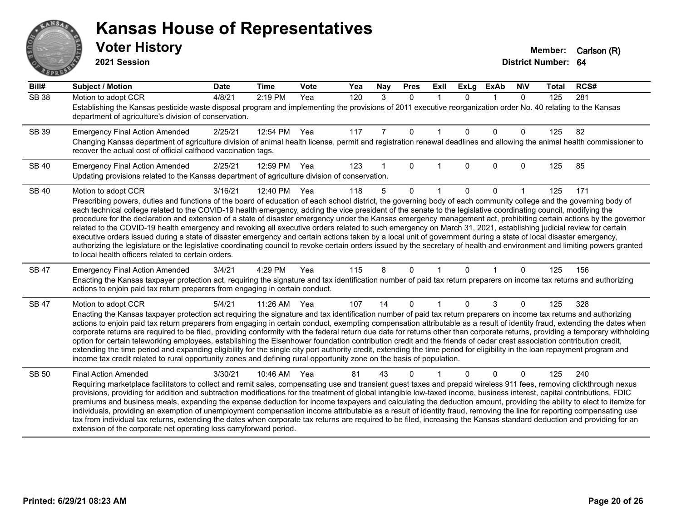# ANS **PARTIE**

#### **Kansas House of Representatives**

**2021 Session**

| Bill#        | <b>Subject / Motion</b>                                                                                                                                                                                                                                                                                                                                    | <b>Date</b> | <b>Time</b> | Vote | Yea | Nay | <b>Pres</b>  | <b>Exll</b> | <b>ExLg</b> | <b>ExAb</b> | <b>NIV</b>   | <b>Total</b> | RCS# |
|--------------|------------------------------------------------------------------------------------------------------------------------------------------------------------------------------------------------------------------------------------------------------------------------------------------------------------------------------------------------------------|-------------|-------------|------|-----|-----|--------------|-------------|-------------|-------------|--------------|--------------|------|
| <b>SB 38</b> | Motion to adopt CCR                                                                                                                                                                                                                                                                                                                                        | 4/8/21      | 2:19 PM     | Yea  | 120 | 3   | $\mathbf{0}$ | $\mathbf 1$ | $\Omega$    |             | $\mathbf{0}$ | 125          | 281  |
|              | Establishing the Kansas pesticide waste disposal program and implementing the provisions of 2011 executive reorganization order No. 40 relating to the Kansas<br>department of agriculture's division of conservation.                                                                                                                                     |             |             |      |     |     |              |             |             |             |              |              |      |
| SB 39        | <b>Emergency Final Action Amended</b>                                                                                                                                                                                                                                                                                                                      | 2/25/21     | 12:54 PM    | Yea  | 117 |     | 0            |             | $\Omega$    | $\Omega$    | 0            | 125          | 82   |
|              | Changing Kansas department of agriculture division of animal health license, permit and registration renewal deadlines and allowing the animal health commissioner to<br>recover the actual cost of official calfhood vaccination tags.                                                                                                                    |             |             |      |     |     |              |             |             |             |              |              |      |
| <b>SB 40</b> | <b>Emergency Final Action Amended</b>                                                                                                                                                                                                                                                                                                                      | 2/25/21     | 12:59 PM    | Yea  | 123 |     | 0            |             | $\Omega$    | $\Omega$    | 0            | 125          | 85   |
|              | Updating provisions related to the Kansas department of agriculture division of conservation.                                                                                                                                                                                                                                                              |             |             |      |     |     |              |             |             |             |              |              |      |
| <b>SB 40</b> | Motion to adopt CCR                                                                                                                                                                                                                                                                                                                                        | 3/16/21     | 12:40 PM    | Yea  | 118 | 5   | $\Omega$     |             | $\Omega$    | $\Omega$    |              | 125          | 171  |
|              | Prescribing powers, duties and functions of the board of education of each school district, the governing body of each community college and the governing body of                                                                                                                                                                                         |             |             |      |     |     |              |             |             |             |              |              |      |
|              | each technical college related to the COVID-19 health emergency, adding the vice president of the senate to the legislative coordinating council, modifying the<br>procedure for the declaration and extension of a state of disaster emergency under the Kansas emergency management act, prohibiting certain actions by the governor                     |             |             |      |     |     |              |             |             |             |              |              |      |
|              | related to the COVID-19 health emergency and revoking all executive orders related to such emergency on March 31, 2021, establishing judicial review for certain                                                                                                                                                                                           |             |             |      |     |     |              |             |             |             |              |              |      |
|              | executive orders issued during a state of disaster emergency and certain actions taken by a local unit of government during a state of local disaster emergency,                                                                                                                                                                                           |             |             |      |     |     |              |             |             |             |              |              |      |
|              | authorizing the legislature or the legislative coordinating council to revoke certain orders issued by the secretary of health and environment and limiting powers granted<br>to local health officers related to certain orders.                                                                                                                          |             |             |      |     |     |              |             |             |             |              |              |      |
| <b>SB 47</b> | <b>Emergency Final Action Amended</b>                                                                                                                                                                                                                                                                                                                      | 3/4/21      | 4:29 PM     | Yea  | 115 | 8   | 0            |             | $\Omega$    |             | 0            | 125          | 156  |
|              | Enacting the Kansas taxpayer protection act, requiring the signature and tax identification number of paid tax return preparers on income tax returns and authorizing                                                                                                                                                                                      |             |             |      |     |     |              |             |             |             |              |              |      |
|              | actions to enjoin paid tax return preparers from engaging in certain conduct.                                                                                                                                                                                                                                                                              |             |             |      |     |     |              |             |             |             |              |              |      |
| <b>SB 47</b> | Motion to adopt CCR                                                                                                                                                                                                                                                                                                                                        | 5/4/21      | $11:26$ AM  | Yea  | 107 | 14  | $\Omega$     |             | 0           | 3           | 0            | 125          | 328  |
|              | Enacting the Kansas taxpayer protection act requiring the signature and tax identification number of paid tax return preparers on income tax returns and authorizing                                                                                                                                                                                       |             |             |      |     |     |              |             |             |             |              |              |      |
|              | actions to enjoin paid tax return preparers from engaging in certain conduct, exempting compensation attributable as a result of identity fraud, extending the dates when<br>corporate returns are required to be filed, providing conformity with the federal return due date for returns other than corporate returns, providing a temporary withholding |             |             |      |     |     |              |             |             |             |              |              |      |
|              | option for certain teleworking employees, establishing the Eisenhower foundation contribution credit and the friends of cedar crest association contribution credit,                                                                                                                                                                                       |             |             |      |     |     |              |             |             |             |              |              |      |
|              | extending the time period and expanding eligibility for the single city port authority credit, extending the time period for eligibility in the loan repayment program and                                                                                                                                                                                 |             |             |      |     |     |              |             |             |             |              |              |      |
|              | income tax credit related to rural opportunity zones and defining rural opportunity zone on the basis of population.                                                                                                                                                                                                                                       |             |             |      |     |     |              |             |             |             |              |              |      |
| <b>SB 50</b> | <b>Final Action Amended</b>                                                                                                                                                                                                                                                                                                                                | 3/30/21     | 10:46 AM    | Yea  | 81  | 43  | 0            |             |             | $\Omega$    | 0            | 125          | 240  |
|              | Requiring marketplace facilitators to collect and remit sales, compensating use and transient guest taxes and prepaid wireless 911 fees, removing clickthrough nexus<br>provisions, providing for addition and subtraction modifications for the treatment of global intangible low-taxed income, business interest, capital contributions, FDIC           |             |             |      |     |     |              |             |             |             |              |              |      |
|              | premiums and business meals, expanding the expense deduction for income taxpayers and calculating the deduction amount, providing the ability to elect to itemize for                                                                                                                                                                                      |             |             |      |     |     |              |             |             |             |              |              |      |
|              | individuals, providing an exemption of unemployment compensation income attributable as a result of identity fraud, removing the line for reporting compensating use                                                                                                                                                                                       |             |             |      |     |     |              |             |             |             |              |              |      |
|              | tax from individual tax returns, extending the dates when corporate tax returns are required to be filed, increasing the Kansas standard deduction and providing for an                                                                                                                                                                                    |             |             |      |     |     |              |             |             |             |              |              |      |
|              | extension of the corporate net operating loss carryforward period.                                                                                                                                                                                                                                                                                         |             |             |      |     |     |              |             |             |             |              |              |      |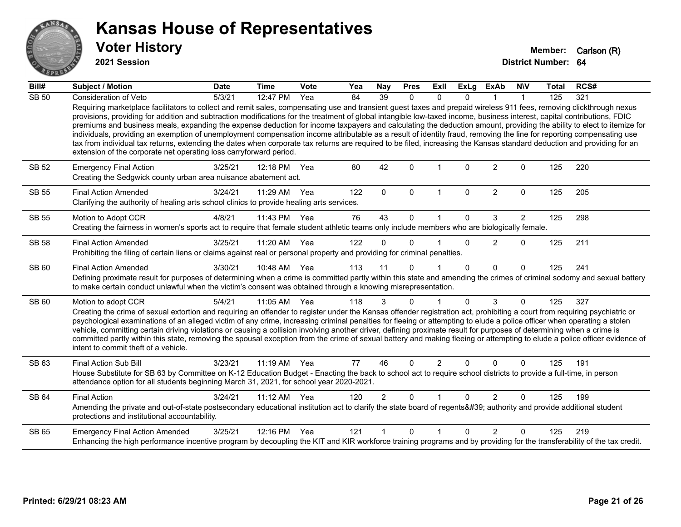

**2021 Session**

| Bill#        | Subject / Motion                                                                                                                                                                                                                                                                                                                                                                                                                                                                                                                                                                                                                                                                                                                                     | <b>Date</b> | <b>Time</b>        | Vote | Yea | Nay            | <b>Pres</b> | ExII           | <b>ExLg</b>  | <b>ExAb</b>    | <b>NIV</b>     | <b>Total</b> | RCS# |
|--------------|------------------------------------------------------------------------------------------------------------------------------------------------------------------------------------------------------------------------------------------------------------------------------------------------------------------------------------------------------------------------------------------------------------------------------------------------------------------------------------------------------------------------------------------------------------------------------------------------------------------------------------------------------------------------------------------------------------------------------------------------------|-------------|--------------------|------|-----|----------------|-------------|----------------|--------------|----------------|----------------|--------------|------|
| <b>SB 50</b> | Consideration of Veto<br>Requiring marketplace facilitators to collect and remit sales, compensating use and transient guest taxes and prepaid wireless 911 fees, removing clickthrough nexus<br>provisions, providing for addition and subtraction modifications for the treatment of global intangible low-taxed income, business interest, capital contributions, FDIC<br>premiums and business meals, expanding the expense deduction for income taxpayers and calculating the deduction amount, providing the ability to elect to itemize for                                                                                                                                                                                                   | 5/3/21      | 12:47 PM           | Yea  | 84  | 39             | 0           | $\Omega$       | $\Omega$     |                | 1              | 125          | 321  |
|              | individuals, providing an exemption of unemployment compensation income attributable as a result of identity fraud, removing the line for reporting compensating use<br>tax from individual tax returns, extending the dates when corporate tax returns are required to be filed, increasing the Kansas standard deduction and providing for an<br>extension of the corporate net operating loss carryforward period.                                                                                                                                                                                                                                                                                                                                |             |                    |      |     |                |             |                |              |                |                |              |      |
| SB 52        | <b>Emergency Final Action</b><br>Creating the Sedgwick county urban area nuisance abatement act.                                                                                                                                                                                                                                                                                                                                                                                                                                                                                                                                                                                                                                                     | 3/25/21     | 12:18 PM           | Yea  | 80  | 42             | $\Omega$    |                | $\Omega$     | $\overline{2}$ | 0              | 125          | 220  |
| <b>SB 55</b> | <b>Final Action Amended</b><br>Clarifying the authority of healing arts school clinics to provide healing arts services.                                                                                                                                                                                                                                                                                                                                                                                                                                                                                                                                                                                                                             | 3/24/21     | 11:29 AM           | Yea  | 122 | $\mathbf{0}$   | $\Omega$    | $\mathbf{1}$   | $\mathbf{0}$ | $\overline{2}$ | 0              | 125          | 205  |
| <b>SB 55</b> | Motion to Adopt CCR<br>Creating the fairness in women's sports act to require that female student athletic teams only include members who are biologically female.                                                                                                                                                                                                                                                                                                                                                                                                                                                                                                                                                                                   | 4/8/21      | 11:43 PM           | Yea  | 76  | 43             | $\Omega$    |                | $\Omega$     | 3              | $\overline{2}$ | 125          | 298  |
| <b>SB 58</b> | <b>Final Action Amended</b><br>Prohibiting the filing of certain liens or claims against real or personal property and providing for criminal penalties.                                                                                                                                                                                                                                                                                                                                                                                                                                                                                                                                                                                             | 3/25/21     | 11:20 AM Yea       |      | 122 | $\Omega$       | $\Omega$    |                | $\Omega$     | 2              | $\Omega$       | 125          | 211  |
| SB 60        | <b>Final Action Amended</b><br>Defining proximate result for purposes of determining when a crime is committed partly within this state and amending the crimes of criminal sodomy and sexual battery<br>to make certain conduct unlawful when the victim's consent was obtained through a knowing misrepresentation.                                                                                                                                                                                                                                                                                                                                                                                                                                | 3/30/21     | 10:48 AM           | Yea  | 113 | 11             | $\Omega$    |                | $\Omega$     | $\Omega$       | $\Omega$       | 125          | 241  |
| <b>SB 60</b> | Motion to adopt CCR                                                                                                                                                                                                                                                                                                                                                                                                                                                                                                                                                                                                                                                                                                                                  | 5/4/21      | 11:05 AM           | Yea  | 118 | 3              | $\Omega$    | 1              | $\Omega$     | 3              | $\Omega$       | 125          | 327  |
|              | Creating the crime of sexual extortion and requiring an offender to register under the Kansas offender registration act, prohibiting a court from requiring psychiatric or<br>psychological examinations of an alleged victim of any crime, increasing criminal penalties for fleeing or attempting to elude a police officer when operating a stolen<br>vehicle, committing certain driving violations or causing a collision involving another driver, defining proximate result for purposes of determining when a crime is<br>committed partly within this state, removing the spousal exception from the crime of sexual battery and making fleeing or attempting to elude a police officer evidence of<br>intent to commit theft of a vehicle. |             |                    |      |     |                |             |                |              |                |                |              |      |
| SB 63        | <b>Final Action Sub Bill</b><br>House Substitute for SB 63 by Committee on K-12 Education Budget - Enacting the back to school act to require school districts to provide a full-time, in person<br>attendance option for all students beginning March 31, 2021, for school year 2020-2021.                                                                                                                                                                                                                                                                                                                                                                                                                                                          | 3/23/21     | 11:19 AM Yea       |      | 77  | 46             | $\Omega$    | $\overline{2}$ | $\Omega$     | $\Omega$       | $\Omega$       | 125          | 191  |
| <b>SB 64</b> | <b>Final Action</b><br>Amending the private and out-of-state postsecondary educational institution act to clarify the state board of regents' authority and provide additional student<br>protections and institutional accountability.                                                                                                                                                                                                                                                                                                                                                                                                                                                                                                              | 3/24/21     | $11:12 \text{ AM}$ | Yea  | 120 | $\overline{2}$ | $\Omega$    |                | $\Omega$     | $\overline{2}$ | $\Omega$       | 125          | 199  |
| SB 65        | <b>Emergency Final Action Amended</b><br>Enhancing the high performance incentive program by decoupling the KIT and KIR workforce training programs and by providing for the transferability of the tax credit.                                                                                                                                                                                                                                                                                                                                                                                                                                                                                                                                      | 3/25/21     | 12:16 PM           | Yea  | 121 |                | $\Omega$    | 1              | $\Omega$     | $\mathfrak{p}$ | $\Omega$       | 125          | 219  |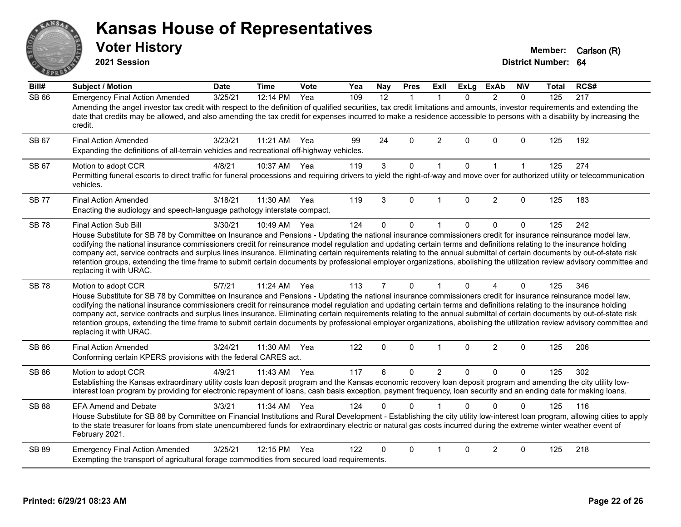#### ANS Erry  $E$   $\mathbf{F}$

#### **Kansas House of Representatives**

**2021 Session**

**Voter History Member:** Carlson (R)

| Bill#        | <b>Subject / Motion</b>                                                                                                                                                                                                                                                                                                                                                                                                                                                                                                                                                                                                                                                                                                                               | <b>Date</b> | <b>Time</b> | Vote | Yea | Nay            | <b>Pres</b>  | ExII           | <b>ExLg</b> | <b>ExAb</b>    | <b>NIV</b>   | Total | RCS# |
|--------------|-------------------------------------------------------------------------------------------------------------------------------------------------------------------------------------------------------------------------------------------------------------------------------------------------------------------------------------------------------------------------------------------------------------------------------------------------------------------------------------------------------------------------------------------------------------------------------------------------------------------------------------------------------------------------------------------------------------------------------------------------------|-------------|-------------|------|-----|----------------|--------------|----------------|-------------|----------------|--------------|-------|------|
| <b>SB 66</b> | <b>Emergency Final Action Amended</b><br>Amending the angel investor tax credit with respect to the definition of qualified securities, tax credit limitations and amounts, investor requirements and extending the<br>date that credits may be allowed, and also amending the tax credit for expenses incurred to make a residence accessible to persons with a disability by increasing the<br>credit.                                                                                                                                                                                                                                                                                                                                              | 3/25/21     | 12:14 PM    | Yea  | 109 | 12             | $\mathbf{1}$ | $\mathbf{1}$   | $\Omega$    | $\overline{2}$ | $\Omega$     | 125   | 217  |
| SB 67        | <b>Final Action Amended</b><br>Expanding the definitions of all-terrain vehicles and recreational off-highway vehicles.                                                                                                                                                                                                                                                                                                                                                                                                                                                                                                                                                                                                                               | 3/23/21     | 11:21 AM    | Yea  | 99  | 24             | $\Omega$     | 2              | $\Omega$    | $\mathbf{0}$   | $\Omega$     | 125   | 192  |
| SB 67        | Motion to adopt CCR<br>Permitting funeral escorts to direct traffic for funeral processions and requiring drivers to yield the right-of-way and move over for authorized utility or telecommunication<br>vehicles.                                                                                                                                                                                                                                                                                                                                                                                                                                                                                                                                    | 4/8/21      | 10:37 AM    | Yea  | 119 | $\mathbf{3}$   | $\mathbf 0$  | $\mathbf{1}$   | $\mathbf 0$ | $\mathbf{1}$   | $\mathbf{1}$ | 125   | 274  |
| <b>SB77</b>  | <b>Final Action Amended</b><br>Enacting the audiology and speech-language pathology interstate compact.                                                                                                                                                                                                                                                                                                                                                                                                                                                                                                                                                                                                                                               | 3/18/21     | 11:30 AM    | Yea  | 119 | 3              | $\Omega$     | $\mathbf{1}$   | $\Omega$    | 2              | $\Omega$     | 125   | 183  |
| <b>SB 78</b> | <b>Final Action Sub Bill</b><br>House Substitute for SB 78 by Committee on Insurance and Pensions - Updating the national insurance commissioners credit for insurance reinsurance model law,<br>codifying the national insurance commissioners credit for reinsurance model regulation and updating certain terms and definitions relating to the insurance holding<br>company act, service contracts and surplus lines insurance. Eliminating certain requirements relating to the annual submittal of certain documents by out-of-state risk<br>retention groups, extending the time frame to submit certain documents by professional employer organizations, abolishing the utilization review advisory committee and<br>replacing it with URAC. | 3/30/21     | 10:49 AM    | Yea  | 124 | 0              | $\mathbf 0$  | $\mathbf{1}$   | $\Omega$    | $\mathbf 0$    | $\pmb{0}$    | 125   | 242  |
| <b>SB78</b>  | Motion to adopt CCR<br>House Substitute for SB 78 by Committee on Insurance and Pensions - Updating the national insurance commissioners credit for insurance reinsurance model law,<br>codifying the national insurance commissioners credit for reinsurance model regulation and updating certain terms and definitions relating to the insurance holding<br>company act, service contracts and surplus lines insurance. Eliminating certain requirements relating to the annual submittal of certain documents by out-of-state risk<br>retention groups, extending the time frame to submit certain documents by professional employer organizations, abolishing the utilization review advisory committee and<br>replacing it with URAC.          | 5/7/21      | 11:24 AM    | Yea  | 113 | $\overline{7}$ | $\mathbf{0}$ | 1              | $\Omega$    | 4              | $\Omega$     | 125   | 346  |
| <b>SB 86</b> | <b>Final Action Amended</b><br>Conforming certain KPERS provisions with the federal CARES act.                                                                                                                                                                                                                                                                                                                                                                                                                                                                                                                                                                                                                                                        | 3/24/21     | 11:30 AM    | Yea  | 122 | 0              | $\Omega$     | $\mathbf{1}$   | $\Omega$    | $\overline{2}$ | 0            | 125   | 206  |
| SB 86        | Motion to adopt CCR<br>Establishing the Kansas extraordinary utility costs loan deposit program and the Kansas economic recovery loan deposit program and amending the city utility low-<br>interest loan program by providing for electronic repayment of loans, cash basis exception, payment frequency, loan security and an ending date for making loans.                                                                                                                                                                                                                                                                                                                                                                                         | 4/9/21      | 11:43 AM    | Yea  | 117 | 6              | 0            | $\overline{2}$ | $\Omega$    | $\pmb{0}$      | $\mathbf{0}$ | 125   | 302  |
| <b>SB 88</b> | <b>EFA Amend and Debate</b><br>House Substitute for SB 88 by Committee on Financial Institutions and Rural Development - Establishing the city utility low-interest loan program, allowing cities to apply<br>to the state treasurer for loans from state unencumbered funds for extraordinary electric or natural gas costs incurred during the extreme winter weather event of<br>February 2021.                                                                                                                                                                                                                                                                                                                                                    | 3/3/21      | 11:34 AM    | Yea  | 124 | $\Omega$       | $\Omega$     |                | 0           | $\Omega$       | $\Omega$     | 125   | 116  |
| SB 89        | <b>Emergency Final Action Amended</b><br>Exempting the transport of agricultural forage commodities from secured load requirements.                                                                                                                                                                                                                                                                                                                                                                                                                                                                                                                                                                                                                   | 3/25/21     | 12:15 PM    | Yea  | 122 | $\Omega$       | $\Omega$     | 1              | $\Omega$    | $\overline{2}$ | $\Omega$     | 125   | 218  |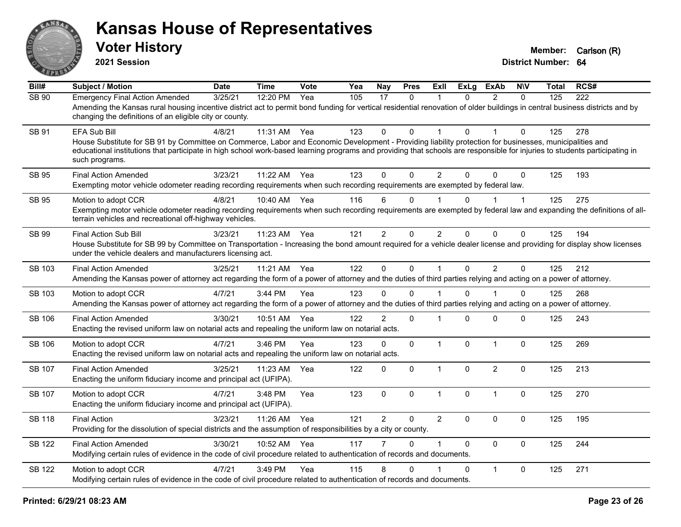

**2021 Session**

| Bill#         | <b>Subject / Motion</b>                                                                                                                                                                                                                                                                                                                                                 | <b>Date</b> | <b>Time</b> | Vote | Yea | Nay            | <b>Pres</b>  | <b>ExII</b>    | <b>ExLg</b>  | <b>ExAb</b>    | <b>NIV</b>   | Total | RCS# |
|---------------|-------------------------------------------------------------------------------------------------------------------------------------------------------------------------------------------------------------------------------------------------------------------------------------------------------------------------------------------------------------------------|-------------|-------------|------|-----|----------------|--------------|----------------|--------------|----------------|--------------|-------|------|
| <b>SB 90</b>  | <b>Emergency Final Action Amended</b><br>Amending the Kansas rural housing incentive district act to permit bond funding for vertical residential renovation of older buildings in central business districts and by<br>changing the definitions of an eligible city or county.                                                                                         | 3/25/21     | 12:20 PM    | Yea  | 105 | 17             | $\mathbf{0}$ | 1              | $\Omega$     | 2              | $\mathbf{0}$ | 125   | 222  |
| SB 91         | EFA Sub Bill<br>House Substitute for SB 91 by Committee on Commerce, Labor and Economic Development - Providing liability protection for businesses, municipalities and<br>educational institutions that participate in high school work-based learning programs and providing that schools are responsible for injuries to students participating in<br>such programs. | 4/8/21      | 11:31 AM    | Yea  | 123 | 0              | $\Omega$     | 1              | $\Omega$     |                | $\Omega$     | 125   | 278  |
| <b>SB 95</b>  | <b>Final Action Amended</b><br>Exempting motor vehicle odometer reading recording requirements when such recording requirements are exempted by federal law.                                                                                                                                                                                                            | 3/23/21     | 11:22 AM    | Yea  | 123 | $\mathbf{0}$   | $\Omega$     | $\overline{2}$ | $\Omega$     | $\Omega$       | $\Omega$     | 125   | 193  |
| SB 95         | Motion to adopt CCR<br>Exempting motor vehicle odometer reading recording requirements when such recording requirements are exempted by federal law and expanding the definitions of all-<br>terrain vehicles and recreational off-highway vehicles.                                                                                                                    | 4/8/21      | 10:40 AM    | Yea  | 116 | 6              | $\mathbf 0$  |                | 0            |                | 1            | 125   | 275  |
| SB 99         | <b>Final Action Sub Bill</b><br>House Substitute for SB 99 by Committee on Transportation - Increasing the bond amount required for a vehicle dealer license and providing for display show licenses<br>under the vehicle dealers and manufacturers licensing act.                                                                                                      | 3/23/21     | 11:23 AM    | Yea  | 121 | $\overline{2}$ | $\Omega$     | $\overline{2}$ | $\Omega$     | $\mathbf{0}$   | 0            | 125   | 194  |
| SB 103        | <b>Final Action Amended</b><br>Amending the Kansas power of attorney act regarding the form of a power of attorney and the duties of third parties relying and acting on a power of attorney.                                                                                                                                                                           | 3/25/21     | 11:21 AM    | Yea  | 122 | $\Omega$       | $\mathbf 0$  | $\mathbf{1}$   | $\Omega$     | 2              | $\Omega$     | 125   | 212  |
| SB 103        | Motion to adopt CCR<br>Amending the Kansas power of attorney act regarding the form of a power of attorney and the duties of third parties relying and acting on a power of attorney.                                                                                                                                                                                   | 4/7/21      | 3:44 PM     | Yea  | 123 | $\Omega$       | $\Omega$     |                | $\Omega$     |                | $\Omega$     | 125   | 268  |
| <b>SB 106</b> | <b>Final Action Amended</b><br>Enacting the revised uniform law on notarial acts and repealing the uniform law on notarial acts.                                                                                                                                                                                                                                        | 3/30/21     | 10:51 AM    | Yea  | 122 | $\overline{2}$ | $\mathbf 0$  | 1              | $\Omega$     | $\mathbf 0$    | 0            | 125   | 243  |
| <b>SB 106</b> | Motion to adopt CCR<br>Enacting the revised uniform law on notarial acts and repealing the uniform law on notarial acts.                                                                                                                                                                                                                                                | 4/7/21      | 3:46 PM     | Yea  | 123 | $\mathbf 0$    | $\Omega$     | $\mathbf{1}$   | $\mathbf{0}$ | $\overline{1}$ | $\mathbf 0$  | 125   | 269  |
| SB 107        | <b>Final Action Amended</b><br>Enacting the uniform fiduciary income and principal act (UFIPA).                                                                                                                                                                                                                                                                         | 3/25/21     | 11:23 AM    | Yea  | 122 | $\mathbf 0$    | 0            | $\mathbf{1}$   | $\Omega$     | $\overline{2}$ | $\mathbf 0$  | 125   | 213  |
| <b>SB 107</b> | Motion to adopt CCR<br>Enacting the uniform fiduciary income and principal act (UFIPA).                                                                                                                                                                                                                                                                                 | 4/7/21      | 3:48 PM     | Yea  | 123 | $\mathbf 0$    | $\mathbf 0$  | $\mathbf{1}$   | 0            | $\overline{1}$ | $\mathbf 0$  | 125   | 270  |
| <b>SB 118</b> | <b>Final Action</b><br>Providing for the dissolution of special districts and the assumption of responsibilities by a city or county.                                                                                                                                                                                                                                   | 3/23/21     | 11:26 AM    | Yea  | 121 | $\overline{2}$ | 0            | $\overline{2}$ | $\Omega$     | $\mathbf 0$    | $\mathbf 0$  | 125   | 195  |
| <b>SB 122</b> | <b>Final Action Amended</b><br>Modifying certain rules of evidence in the code of civil procedure related to authentication of records and documents.                                                                                                                                                                                                                   | 3/30/21     | 10:52 AM    | Yea  | 117 |                | $\Omega$     | 1              | $\Omega$     | $\Omega$       | $\mathbf 0$  | 125   | 244  |
| <b>SB 122</b> | Motion to adopt CCR<br>Modifying certain rules of evidence in the code of civil procedure related to authentication of records and documents.                                                                                                                                                                                                                           | 4/7/21      | 3:49 PM     | Yea  | 115 | 8              | $\Omega$     |                | $\Omega$     | $\mathbf{1}$   | $\mathbf 0$  | 125   | 271  |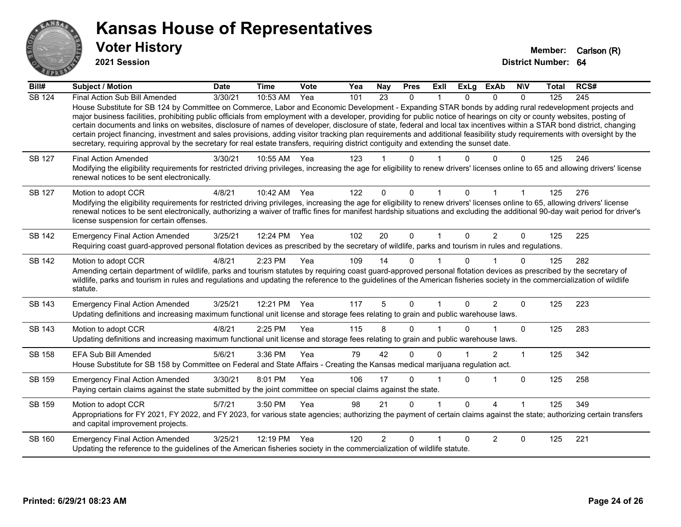

**2021 Session**

| Bill#         | <b>Subject / Motion</b>                                                                                                                                                                                                                                                                                                                                                                                                                                                                       | <b>Date</b> | <b>Time</b> | <b>Vote</b> | Yea | <b>Nay</b>     | <b>Pres</b>  | ExII                 | <b>ExLg</b> | <b>ExAb</b> | <b>NIV</b>   | <b>Total</b> | RCS# |
|---------------|-----------------------------------------------------------------------------------------------------------------------------------------------------------------------------------------------------------------------------------------------------------------------------------------------------------------------------------------------------------------------------------------------------------------------------------------------------------------------------------------------|-------------|-------------|-------------|-----|----------------|--------------|----------------------|-------------|-------------|--------------|--------------|------|
| <b>SB 124</b> | Final Action Sub Bill Amended<br>House Substitute for SB 124 by Committee on Commerce, Labor and Economic Development - Expanding STAR bonds by adding rural redevelopment projects and<br>major business facilities, prohibiting public officials from employment with a developer, providing for public notice of hearings on city or county websites, posting of                                                                                                                           | 3/30/21     | 10:53 AM    | Yea         | 101 | 23             | 0            |                      | 0           | $\Omega$    | 0            | 125          | 245  |
|               | certain documents and links on websites, disclosure of names of developer, disclosure of state, federal and local tax incentives within a STAR bond district, changing<br>certain project financing, investment and sales provisions, adding visitor tracking plan requirements and additional feasibility study requirements with oversight by the<br>secretary, requiring approval by the secretary for real estate transfers, requiring district contiguity and extending the sunset date. |             |             |             |     |                |              |                      |             |             |              |              |      |
| <b>SB 127</b> | <b>Final Action Amended</b><br>Modifying the eligibility requirements for restricted driving privileges, increasing the age for eligibility to renew drivers' licenses online to 65 and allowing drivers' license<br>renewal notices to be sent electronically.                                                                                                                                                                                                                               | 3/30/21     | 10:55 AM    | Yea         | 123 |                | U            |                      |             |             | 0            | 125          | 246  |
| <b>SB 127</b> | Motion to adopt CCR<br>Modifying the eligibility requirements for restricted driving privileges, increasing the age for eligibility to renew drivers' licenses online to 65, allowing drivers' license<br>renewal notices to be sent electronically, authorizing a waiver of traffic fines for manifest hardship situations and excluding the additional 90-day wait period for driver's<br>license suspension for certain offenses.                                                          | 4/8/21      | 10:42 AM    | Yea         | 122 | 0              | $\Omega$     | $\blacktriangleleft$ | 0           |             |              | 125          | 276  |
| SB 142        | <b>Emergency Final Action Amended</b><br>Requiring coast guard-approved personal flotation devices as prescribed by the secretary of wildlife, parks and tourism in rules and regulations.                                                                                                                                                                                                                                                                                                    | 3/25/21     | 12:24 PM    | Yea         | 102 | 20             | $\mathbf{0}$ | $\mathbf 1$          | $\Omega$    | 2           | $\mathbf{0}$ | 125          | 225  |
| SB 142        | Motion to adopt CCR<br>Amending certain department of wildlife, parks and tourism statutes by requiring coast guard-approved personal flotation devices as prescribed by the secretary of<br>wildlife, parks and tourism in rules and regulations and updating the reference to the guidelines of the American fisheries society in the commercialization of wildlife<br>statute.                                                                                                             | 4/8/21      | 2:23 PM     | Yea         | 109 | 14             | $\Omega$     |                      | $\Omega$    |             | $\Omega$     | 125          | 282  |
| SB 143        | <b>Emergency Final Action Amended</b><br>Updating definitions and increasing maximum functional unit license and storage fees relating to grain and public warehouse laws.                                                                                                                                                                                                                                                                                                                    | 3/25/21     | 12:21 PM    | Yea         | 117 | 5              | 0            |                      | 0           | 2           | $\Omega$     | 125          | 223  |
| SB 143        | Motion to adopt CCR<br>Updating definitions and increasing maximum functional unit license and storage fees relating to grain and public warehouse laws.                                                                                                                                                                                                                                                                                                                                      | 4/8/21      | 2:25 PM     | Yea         | 115 | 8              | 0            |                      |             |             | $\Omega$     | 125          | 283  |
| SB 158        | <b>EFA Sub Bill Amended</b><br>House Substitute for SB 158 by Committee on Federal and State Affairs - Creating the Kansas medical marijuana regulation act.                                                                                                                                                                                                                                                                                                                                  | 5/6/21      | 3:36 PM     | Yea         | 79  | 42             | 0            | 0                    |             | 2           | 1            | 125          | 342  |
| SB 159        | <b>Emergency Final Action Amended</b><br>Paying certain claims against the state submitted by the joint committee on special claims against the state.                                                                                                                                                                                                                                                                                                                                        | 3/30/21     | 8:01 PM     | Yea         | 106 | 17             | 0            |                      | 0           | 1           | $\mathbf 0$  | 125          | 258  |
| SB 159        | Motion to adopt CCR<br>Appropriations for FY 2021, FY 2022, and FY 2023, for various state agencies; authorizing the payment of certain claims against the state; authorizing certain transfers<br>and capital improvement projects.                                                                                                                                                                                                                                                          | 5/7/21      | 3:50 PM     | Yea         | 98  | 21             | 0            |                      | $\Omega$    | Λ           |              | 125          | 349  |
| SB 160        | <b>Emergency Final Action Amended</b><br>Updating the reference to the guidelines of the American fisheries society in the commercialization of wildlife statute.                                                                                                                                                                                                                                                                                                                             | 3/25/21     | 12:19 PM    | Yea         | 120 | $\overline{2}$ | $\Omega$     |                      | $\Omega$    | 2           | 0            | 125          | 221  |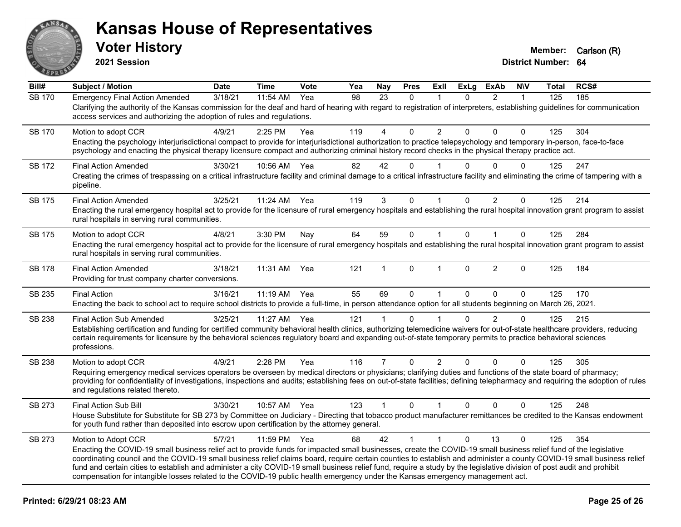

**2021 Session**

| Bill#         | <b>Subject / Motion</b>                                                                                                                                                                                                                                                                                                                                                                                                                                                                                                                                                                                                                                                       | <b>Date</b> | <b>Time</b> | Vote | Yea | <b>Nay</b>     | <b>Pres</b>  | ExIl                 | <b>ExLg</b>  | <b>ExAb</b>    | <b>NIV</b>   | <b>Total</b> | RCS# |
|---------------|-------------------------------------------------------------------------------------------------------------------------------------------------------------------------------------------------------------------------------------------------------------------------------------------------------------------------------------------------------------------------------------------------------------------------------------------------------------------------------------------------------------------------------------------------------------------------------------------------------------------------------------------------------------------------------|-------------|-------------|------|-----|----------------|--------------|----------------------|--------------|----------------|--------------|--------------|------|
| <b>SB 170</b> | <b>Emergency Final Action Amended</b><br>Clarifying the authority of the Kansas commission for the deaf and hard of hearing with regard to registration of interpreters, establishing guidelines for communication<br>access services and authorizing the adoption of rules and regulations.                                                                                                                                                                                                                                                                                                                                                                                  | 3/18/21     | 11:54 AM    | Yea  | 98  | 23             | $\Omega$     | 1                    | $\Omega$     | $\overline{2}$ | $\mathbf{1}$ | 125          | 185  |
| <b>SB 170</b> | Motion to adopt CCR<br>Enacting the psychology interjurisdictional compact to provide for interjurisdictional authorization to practice telepsychology and temporary in-person, face-to-face<br>psychology and enacting the physical therapy licensure compact and authorizing criminal history record checks in the physical therapy practice act.                                                                                                                                                                                                                                                                                                                           | 4/9/21      | 2:25 PM     | Yea  | 119 | 4              | $\Omega$     | $\overline{2}$       | $\Omega$     | $\Omega$       | $\Omega$     | 125          | 304  |
| <b>SB 172</b> | <b>Final Action Amended</b><br>Creating the crimes of trespassing on a critical infrastructure facility and criminal damage to a critical infrastructure facility and eliminating the crime of tampering with a<br>pipeline.                                                                                                                                                                                                                                                                                                                                                                                                                                                  | 3/30/21     | 10:56 AM    | Yea  | 82  | 42             | $\Omega$     |                      | 0            | $\Omega$       | $\Omega$     | 125          | 247  |
| SB 175        | <b>Final Action Amended</b><br>Enacting the rural emergency hospital act to provide for the licensure of rural emergency hospitals and establishing the rural hospital innovation grant program to assist<br>rural hospitals in serving rural communities.                                                                                                                                                                                                                                                                                                                                                                                                                    | 3/25/21     | 11:24 AM    | Yea  | 119 | 3              | $\Omega$     | 1                    | $\Omega$     | 2              | $\mathbf{0}$ | 125          | 214  |
| SB 175        | Motion to adopt CCR<br>Enacting the rural emergency hospital act to provide for the licensure of rural emergency hospitals and establishing the rural hospital innovation grant program to assist<br>rural hospitals in serving rural communities.                                                                                                                                                                                                                                                                                                                                                                                                                            | 4/8/21      | 3:30 PM     | Nay  | 64  | 59             | $\mathbf{0}$ | $\mathbf{1}$         | $\Omega$     | $\mathbf 1$    | $\Omega$     | 125          | 284  |
| <b>SB 178</b> | <b>Final Action Amended</b><br>Providing for trust company charter conversions.                                                                                                                                                                                                                                                                                                                                                                                                                                                                                                                                                                                               | 3/18/21     | 11:31 AM    | Yea  | 121 | 1              | $\mathbf{0}$ | $\blacktriangleleft$ | $\Omega$     | $\overline{2}$ | $\Omega$     | 125          | 184  |
| SB 235        | <b>Final Action</b><br>Enacting the back to school act to require school districts to provide a full-time, in person attendance option for all students beginning on March 26, 2021.                                                                                                                                                                                                                                                                                                                                                                                                                                                                                          | 3/16/21     | $11:19$ AM  | Yea  | 55  | 69             | $\Omega$     | $\mathbf{1}$         | $\Omega$     | $\Omega$       | $\Omega$     | 125          | 170  |
| SB 238        | Final Action Sub Amended<br>Establishing certification and funding for certified community behavioral health clinics, authorizing telemedicine waivers for out-of-state healthcare providers, reducing<br>certain requirements for licensure by the behavioral sciences regulatory board and expanding out-of-state temporary permits to practice behavioral sciences<br>professions.                                                                                                                                                                                                                                                                                         | 3/25/21     | 11:27 AM    | Yea  | 121 |                | $\Omega$     |                      | $\Omega$     | $\overline{2}$ | 0            | 125          | 215  |
| SB 238        | Motion to adopt CCR<br>Requiring emergency medical services operators be overseen by medical directors or physicians; clarifying duties and functions of the state board of pharmacy;<br>providing for confidentiality of investigations, inspections and audits; establishing fees on out-of-state facilities; defining telepharmacy and requiring the adoption of rules<br>and regulations related thereto.                                                                                                                                                                                                                                                                 | 4/9/21      | 2:28 PM     | Yea  | 116 | $\overline{7}$ | $\mathbf 0$  | $\overline{2}$       | $\Omega$     | $\mathbf 0$    | $\mathbf 0$  | 125          | 305  |
| SB 273        | Final Action Sub Bill<br>House Substitute for Substitute for SB 273 by Committee on Judiciary - Directing that tobacco product manufacturer remittances be credited to the Kansas endowment<br>for youth fund rather than deposited into escrow upon certification by the attorney general.                                                                                                                                                                                                                                                                                                                                                                                   | 3/30/21     | 10:57 AM    | Yea  | 123 | $\mathbf{1}$   | $\mathbf 0$  | $\mathbf{1}$         | $\mathbf{0}$ | $\Omega$       | $\mathbf 0$  | 125          | 248  |
| SB 273        | Motion to Adopt CCR<br>Enacting the COVID-19 small business relief act to provide funds for impacted small businesses, create the COVID-19 small business relief fund of the legislative<br>coordinating council and the COVID-19 small business relief claims board, require certain counties to establish and administer a county COVID-19 small business relief<br>fund and certain cities to establish and administer a city COVID-19 small business relief fund, require a study by the legislative division of post audit and prohibit<br>compensation for intangible losses related to the COVID-19 public health emergency under the Kansas emergency management act. | 5/7/21      | 11:59 PM    | Yea  | 68  | 42             | $\mathbf{1}$ | $\mathbf{1}$         | $\Omega$     | 13             | $\Omega$     | 125          | 354  |